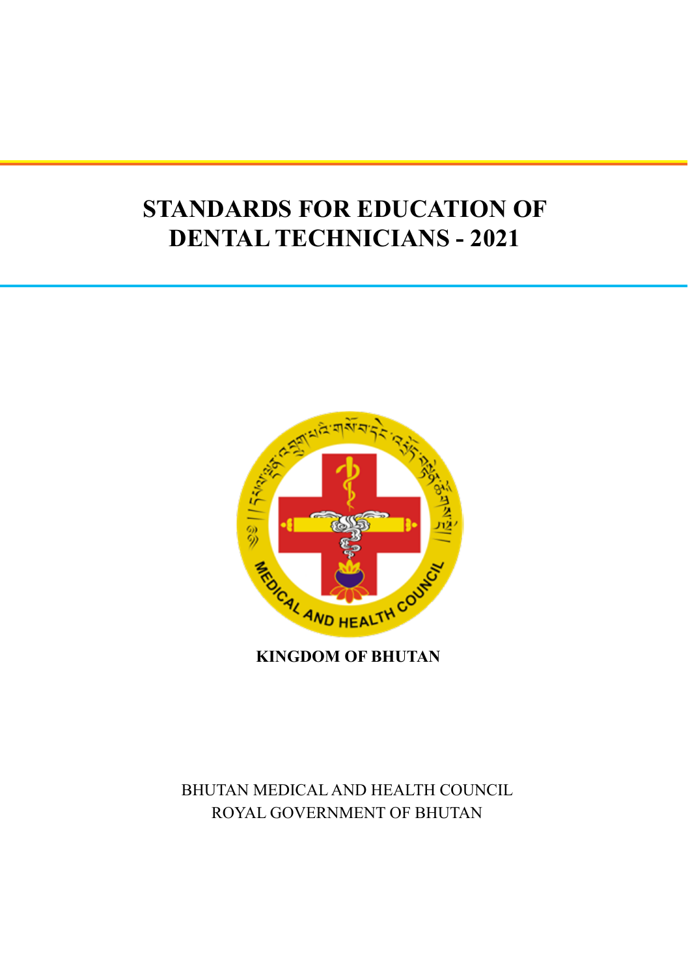# **STANDARDS FOR EDUCATION OF DENTAL TECHNICIANS - 2021**



**KINGDOM OF BHUTAN**

# BHUTAN MEDICAL AND HEALTH COUNCIL ROYAL GOVERNMENT OF BHUTAN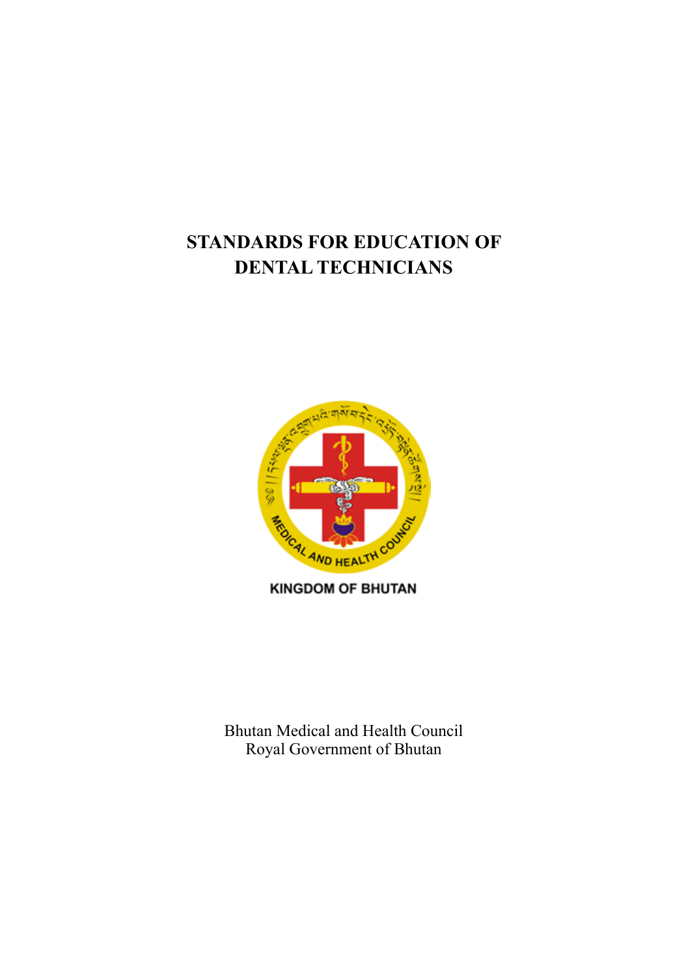# **STANDARDS FOR EDUCATION OF DENTAL TECHNICIANS**



Bhutan Medical and Health Council Royal Government of Bhutan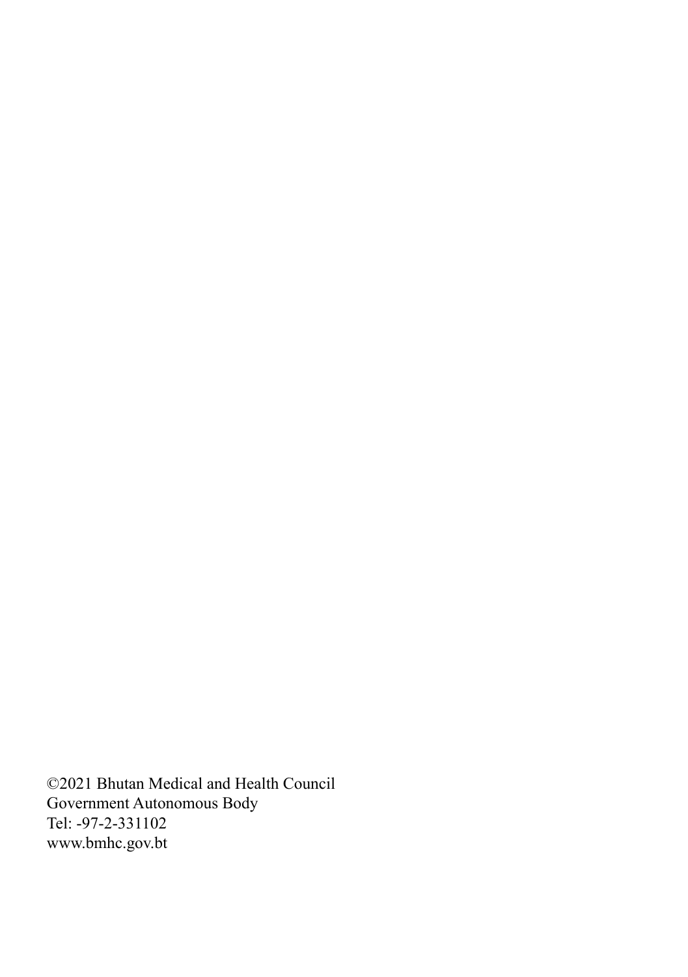©2021 Bhutan Medical and Health Council Government Autonomous Body Tel: -97-2-331102 www.bmhc.gov.bt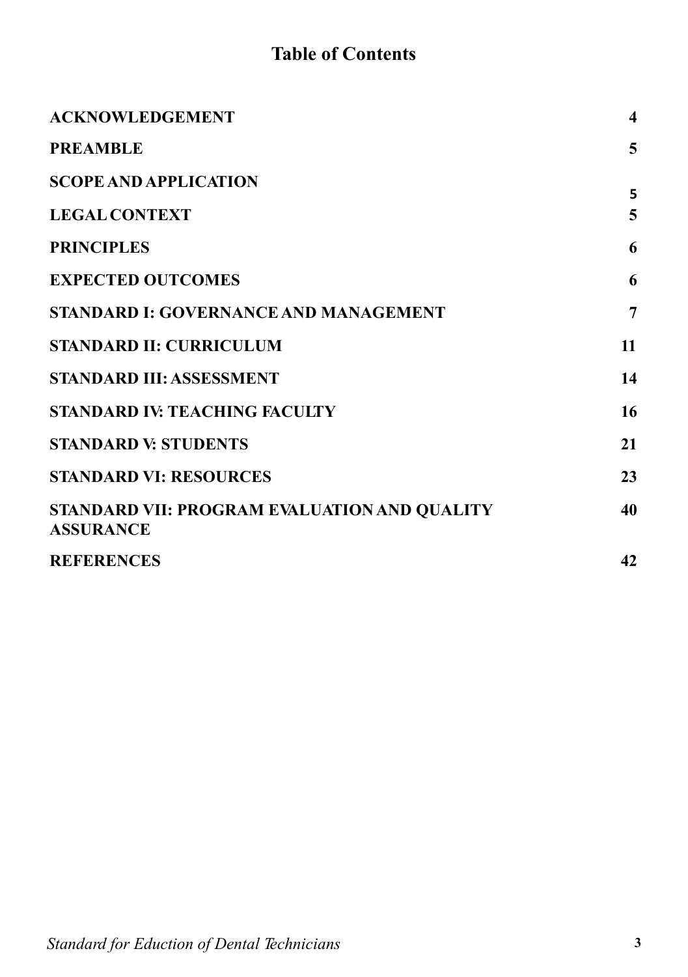# **Table of Contents**

| <b>ACKNOWLEDGEMENT</b>                                           | $\overline{\mathbf{4}}$ |
|------------------------------------------------------------------|-------------------------|
| <b>PREAMBLE</b>                                                  | 5                       |
| <b>SCOPE AND APPLICATION</b>                                     | 5                       |
| <b>LEGAL CONTEXT</b>                                             | 5                       |
| <b>PRINCIPLES</b>                                                | 6                       |
| <b>EXPECTED OUTCOMES</b>                                         | 6                       |
| <b>STANDARD I: GOVERNANCE AND MANAGEMENT</b>                     | 7                       |
| <b>STANDARD II: CURRICULUM</b>                                   | 11                      |
| <b>STANDARD III: ASSESSMENT</b>                                  | 14                      |
| <b>STANDARD IV: TEACHING FACULTY</b>                             | 16                      |
| <b>STANDARD V: STUDENTS</b>                                      | 21                      |
| <b>STANDARD VI: RESOURCES</b>                                    | 23                      |
| STANDARD VII: PROGRAM EVALUATION AND QUALITY<br><b>ASSURANCE</b> | 40                      |
| <b>REFERENCES</b>                                                | 42                      |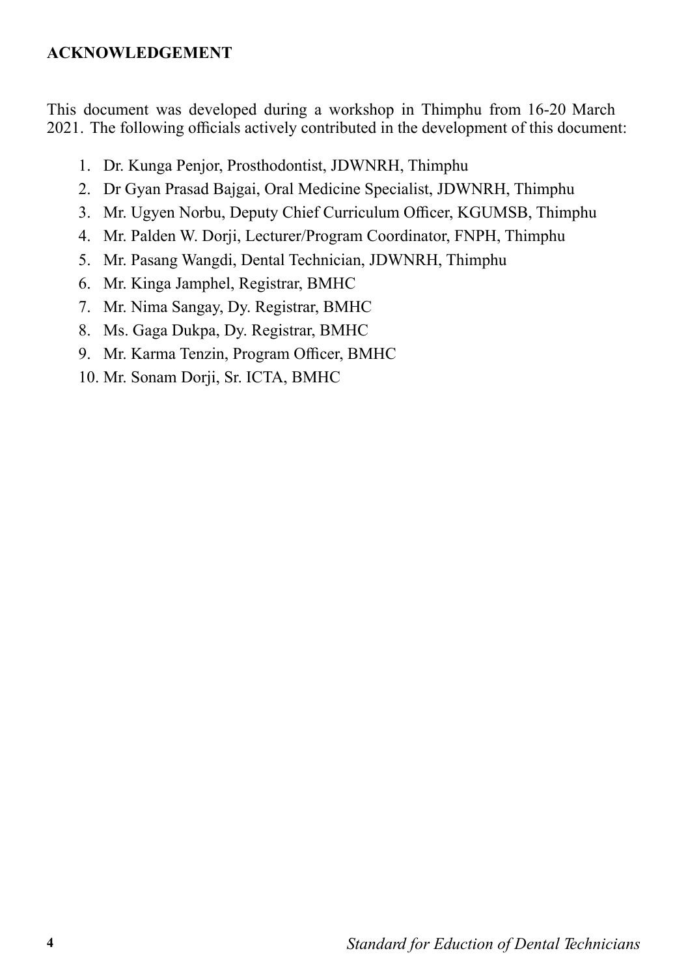#### **ACKNOWLEDGEMENT**

This document was developed during a workshop in Thimphu from 16-20 March 2021. The following officials actively contributed in the development of this document:

- 1. Dr. Kunga Penjor, Prosthodontist, JDWNRH, Thimphu
- 2. Dr Gyan Prasad Bajgai, Oral Medicine Specialist, JDWNRH, Thimphu
- 3. Mr. Ugyen Norbu, Deputy Chief Curriculum Officer, KGUMSB, Thimphu
- 4. Mr. Palden W. Dorji, Lecturer/Program Coordinator, FNPH, Thimphu
- 5. Mr. Pasang Wangdi, Dental Technician, JDWNRH, Thimphu
- 6. Mr. Kinga Jamphel, Registrar, BMHC
- 7. Mr. Nima Sangay, Dy. Registrar, BMHC
- 8. Ms. Gaga Dukpa, Dy. Registrar, BMHC
- 9. Mr. Karma Tenzin, Program Officer, BMHC
- 10. Mr. Sonam Dorji, Sr. ICTA, BMHC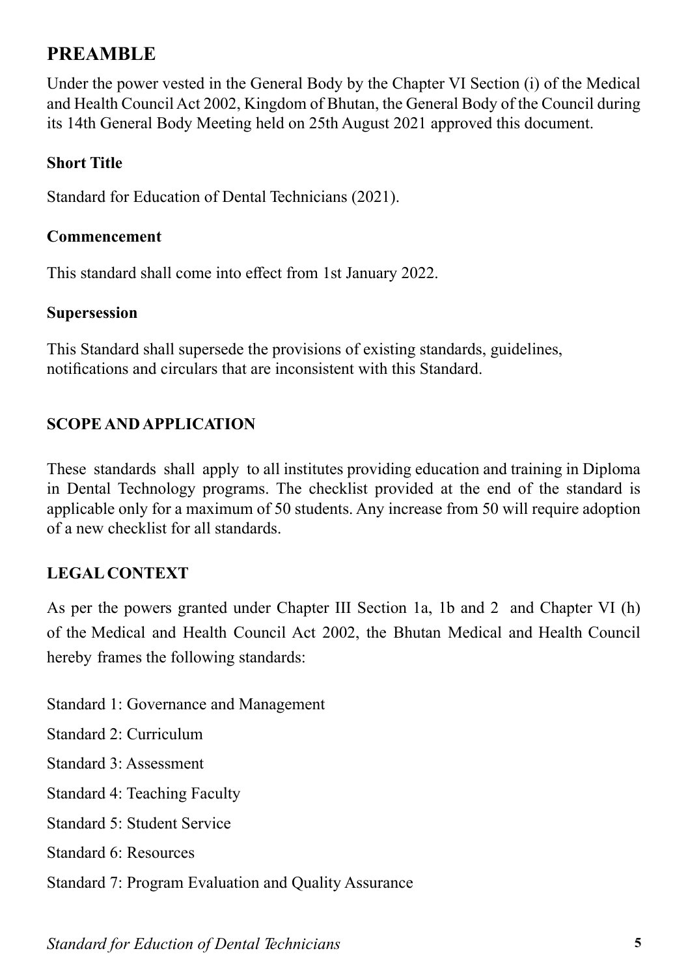# **PREAMBLE**

Under the power vested in the General Body by the Chapter VI Section (i) of the Medical and Health Council Act 2002, Kingdom of Bhutan, the General Body of the Council during its 14th General Body Meeting held on 25th August 2021 approved this document.

#### **Short Title**

Standard for Education of Dental Technicians (2021).

#### **Commencement**

This standard shall come into effect from 1st January 2022.

#### **Supersession**

This Standard shall supersede the provisions of existing standards, guidelines, notifications and circulars that are inconsistent with this Standard.

#### **SCOPE AND APPLICATION**

These standards shall apply to all institutes providing education and training in Diploma in Dental Technology programs. The checklist provided at the end of the standard is applicable only for a maximum of 50 students. Any increase from 50 will require adoption of a new checklist for all standards.

#### **LEGAL CONTEXT**

As per the powers granted under Chapter III Section 1a, 1b and 2 and Chapter VI (h) of the Medical and Health Council Act 2002, the Bhutan Medical and Health Council hereby frames the following standards:

Standard 1: Governance and Management Standard 2: Curriculum Standard 3: Assessment Standard 4: Teaching Faculty Standard 5: Student Service Standard 6: Resources Standard 7: Program Evaluation and Quality Assurance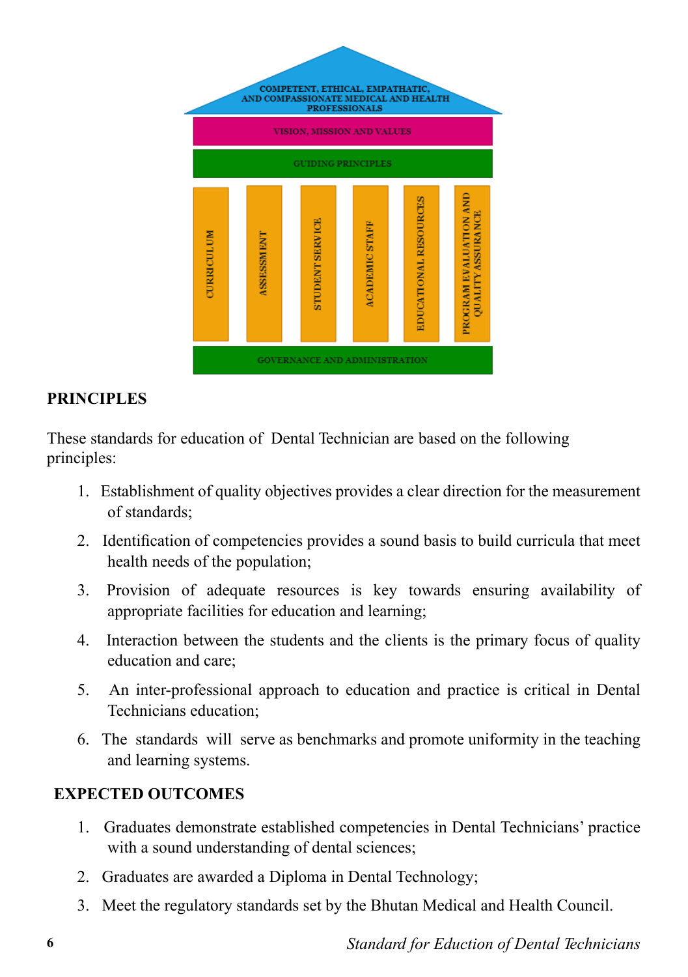

#### **PRINCIPLES**

These standards for education of Dental Technician are based on the following principles:

- 1. Establishment of quality objectives provides a clear direction for the measurement of standards;
- 2. Identification of competencies provides a sound basis to build curricula that meet health needs of the population;
- 3. Provision of adequate resources is key towards ensuring availability of appropriate facilities for education and learning;
- 4. Interaction between the students and the clients is the primary focus of quality education and care;
- 5. An inter-professional approach to education and practice is critical in Dental Technicians education;
- 6. The standards will serve as benchmarks and promote uniformity in the teaching and learning systems.

#### **EXPECTED OUTCOMES**

- 1. Graduates demonstrate established competencies in Dental Technicians' practice with a sound understanding of dental sciences;
- 2. Graduates are awarded a Diploma in Dental Technology;
- 3. Meet the regulatory standards set by the Bhutan Medical and Health Council.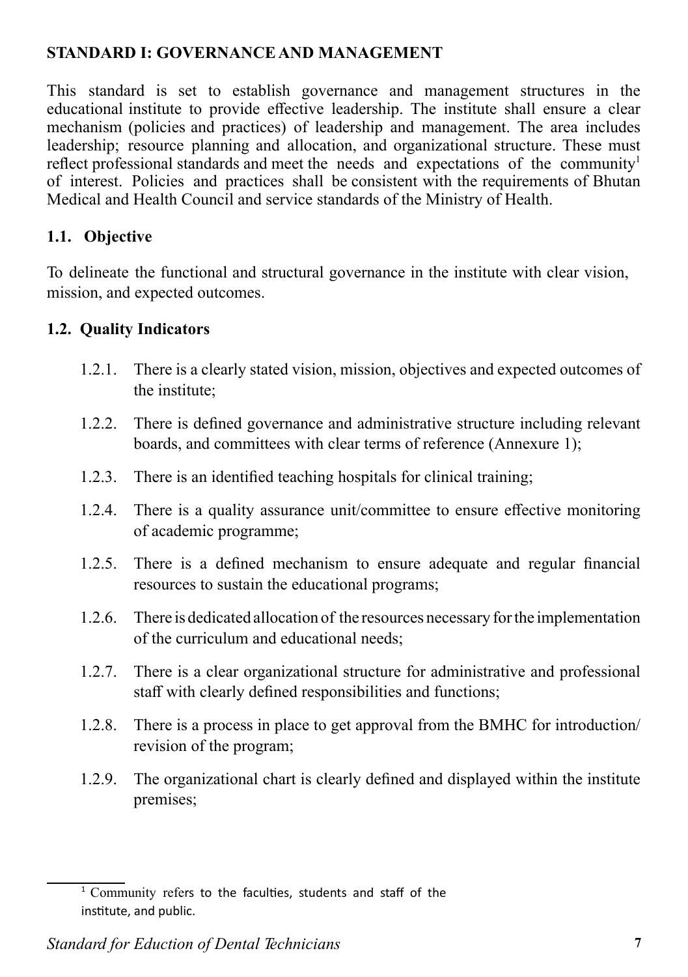#### **STANDARD I: GOVERNANCE AND MANAGEMENT**

This standard is set to establish governance and management structures in the educational institute to provide effective leadership. The institute shall ensure a clear mechanism (policies and practices) of leadership and management. The area includes leadership; resource planning and allocation, and organizational structure. These must reflect professional standards and meet the needs and expectations of the community<sup>1</sup> of interest. Policies and practices shall be consistent with the requirements of Bhutan Medical and Health Council and service standards of the Ministry of Health.

### **1.1. Objective**

To delineate the functional and structural governance in the institute with clear vision, mission, and expected outcomes.

#### **1.2. Quality Indicators**

- 1.2.1. There is a clearly stated vision, mission, objectives and expected outcomes of the institute;
- 1.2.2. There is defined governance and administrative structure including relevant boards, and committees with clear terms of reference (Annexure 1);
- 1.2.3. There is an identified teaching hospitals for clinical training;
- 1.2.4. There is a quality assurance unit/committee to ensure effective monitoring of academic programme;
- 1.2.5. There is a defined mechanism to ensure adequate and regular financial resources to sustain the educational programs;
- 1.2.6. There is dedicated allocation of the resources necessary for the implementation of the curriculum and educational needs;
- 1.2.7. There is a clear organizational structure for administrative and professional staff with clearly defined responsibilities and functions;
- 1.2.8. There is a process in place to get approval from the BMHC for introduction/ revision of the program;
- 1.2.9. The organizational chart is clearly defined and displayed within the institute premises;

 $1$  Community refers to the faculties, students and staff of the institute, and public.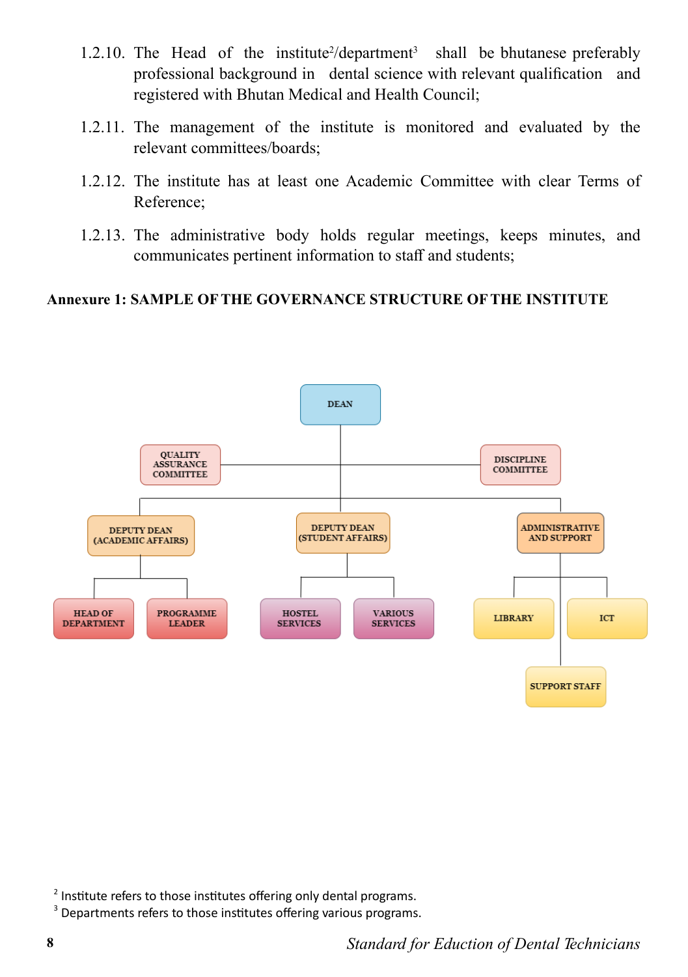- 1.2.10. The Head of the institute<sup>2</sup>/department<sup>3</sup> shall be bhutanese preferably professional background in dental science with relevant qualification and registered with Bhutan Medical and Health Council;
- 1.2.11. The management of the institute is monitored and evaluated by the relevant committees/boards;
- 1.2.12. The institute has at least one Academic Committee with clear Terms of Reference;
- 1.2.13. The administrative body holds regular meetings, keeps minutes, and communicates pertinent information to staff and students;

#### **Annexure 1: SAMPLE OF THE GOVERNANCE STRUCTURE OF THE INSTITUTE**



 $2$  Institute refers to those institutes offering only dental programs.

<sup>3</sup> Departments refers to those institutes offering various programs.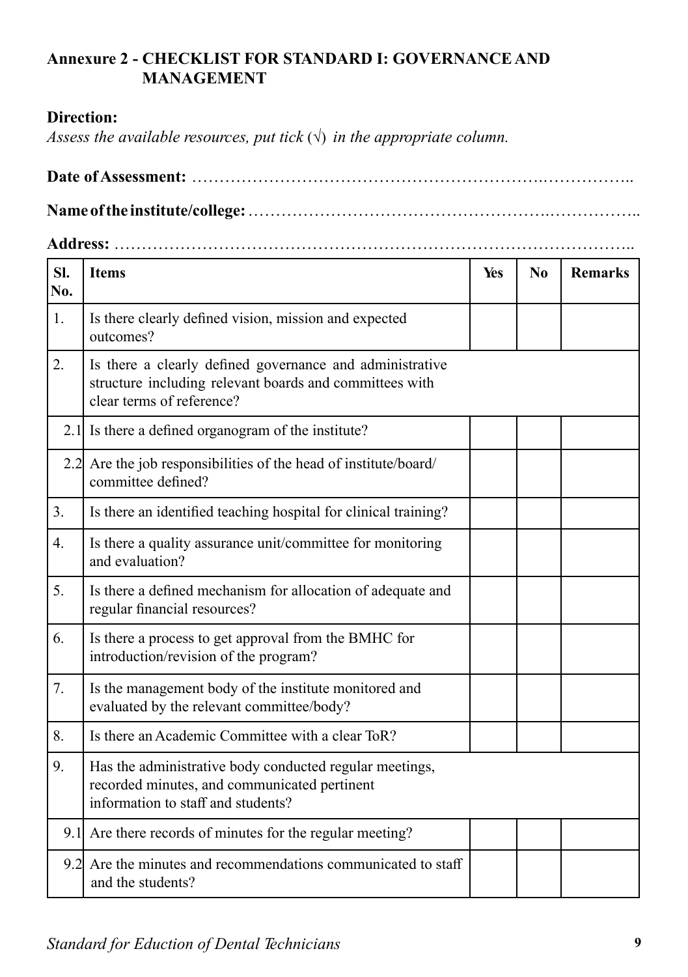#### **Annexure 2 - CHECKLIST FOR STANDARD I: GOVERNANCE AND MANAGEMENT**

#### **Direction:**

*Assess the available resources, put tick*  $(\sqrt{})$  *in the appropriate column.* 

**Date of Assessment:** ……………………………………………………….…………….. **Name of the institute/college:** ……………………………………………….……………..

**Address:** …………………………………………………………………………………..

| SI.<br>No.       | <b>Items</b>                                                                                                                                     | Yes | N <sub>0</sub> | <b>Remarks</b> |
|------------------|--------------------------------------------------------------------------------------------------------------------------------------------------|-----|----------------|----------------|
| 1.               | Is there clearly defined vision, mission and expected<br>outcomes?                                                                               |     |                |                |
| 2.               | Is there a clearly defined governance and administrative<br>structure including relevant boards and committees with<br>clear terms of reference? |     |                |                |
|                  | 2.1 Is there a defined organogram of the institute?                                                                                              |     |                |                |
|                  | 2.2 Are the job responsibilities of the head of institute/board/<br>committee defined?                                                           |     |                |                |
| 3.               | Is there an identified teaching hospital for clinical training?                                                                                  |     |                |                |
| $\overline{4}$ . | Is there a quality assurance unit/committee for monitoring<br>and evaluation?                                                                    |     |                |                |
| 5.               | Is there a defined mechanism for allocation of adequate and<br>regular financial resources?                                                      |     |                |                |
| 6.               | Is there a process to get approval from the BMHC for<br>introduction/revision of the program?                                                    |     |                |                |
| 7.               | Is the management body of the institute monitored and<br>evaluated by the relevant committee/body?                                               |     |                |                |
| 8.               | Is there an Academic Committee with a clear ToR?                                                                                                 |     |                |                |
| 9.               | Has the administrative body conducted regular meetings,<br>recorded minutes, and communicated pertinent<br>information to staff and students?    |     |                |                |
|                  | 9.1 Are there records of minutes for the regular meeting?                                                                                        |     |                |                |
| 9.2              | Are the minutes and recommendations communicated to staff<br>and the students?                                                                   |     |                |                |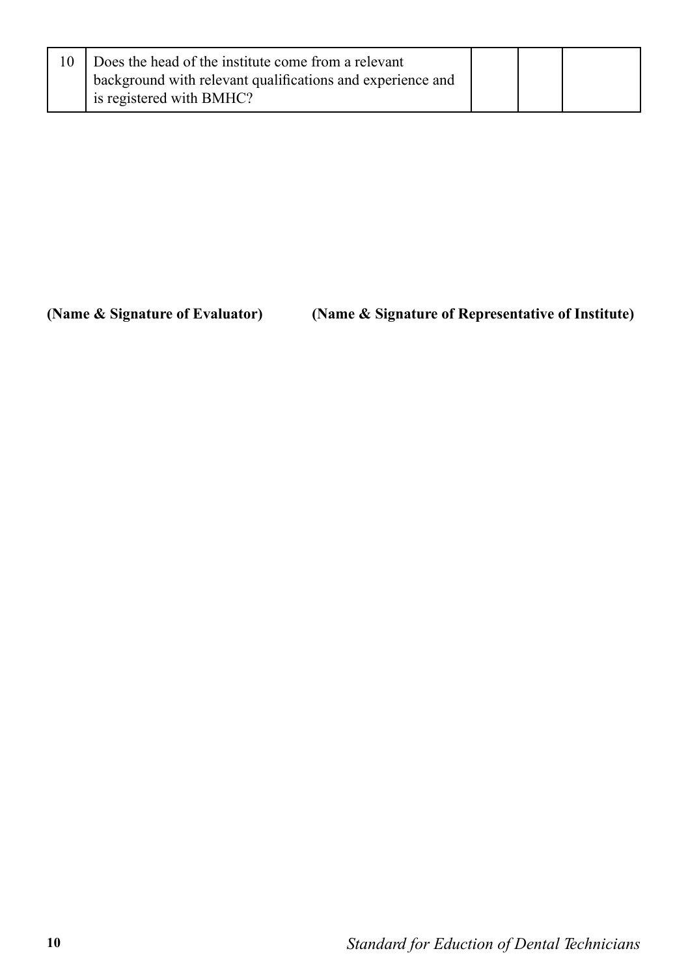| Does the head of the institute come from a relevant        |  |  |
|------------------------------------------------------------|--|--|
| background with relevant qualifications and experience and |  |  |
| is registered with BMHC?                                   |  |  |

**(Name & Signature of Evaluator) (Name & Signature of Representative of Institute)**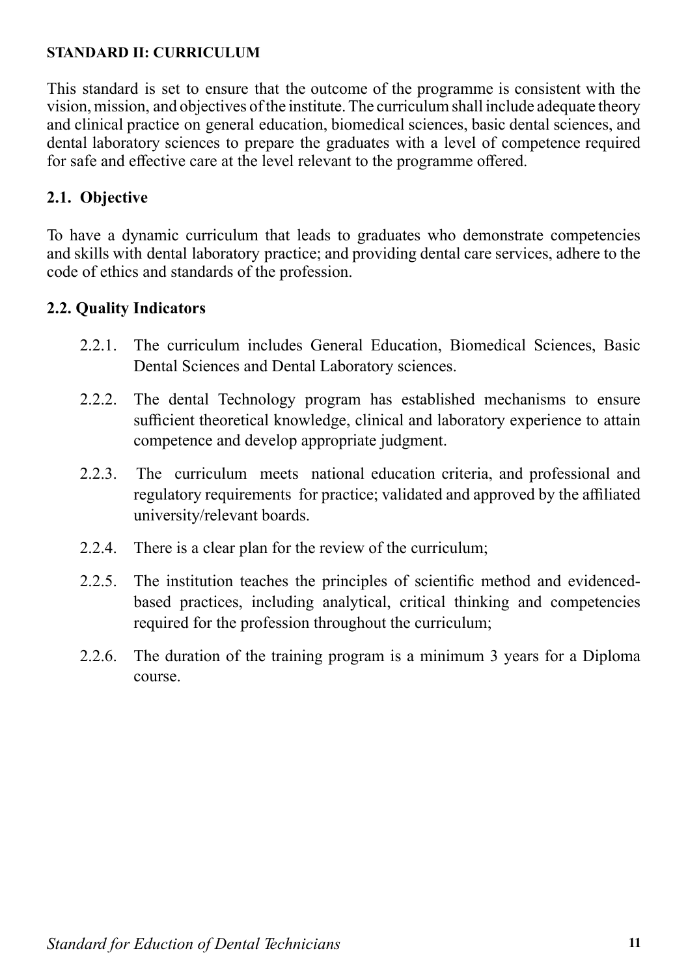#### **STANDARD II: CURRICULUM**

This standard is set to ensure that the outcome of the programme is consistent with the vision, mission, and objectives of the institute. The curriculum shall include adequate theory and clinical practice on general education, biomedical sciences, basic dental sciences, and dental laboratory sciences to prepare the graduates with a level of competence required for safe and effective care at the level relevant to the programme offered.

#### **2.1. Objective**

To have a dynamic curriculum that leads to graduates who demonstrate competencies and skills with dental laboratory practice; and providing dental care services, adhere to the code of ethics and standards of the profession.

#### **2.2. Quality Indicators**

- 2.2.1. The curriculum includes General Education, Biomedical Sciences, Basic Dental Sciences and Dental Laboratory sciences.
- 2.2.2. The dental Technology program has established mechanisms to ensure sufficient theoretical knowledge, clinical and laboratory experience to attain competence and develop appropriate judgment.
- 2.2.3. The curriculum meets national education criteria, and professional and regulatory requirements for practice; validated and approved by the affiliated university/relevant boards.
- 2.2.4. There is a clear plan for the review of the curriculum;
- 2.2.5. The institution teaches the principles of scientific method and evidencedbased practices, including analytical, critical thinking and competencies required for the profession throughout the curriculum;
- 2.2.6. The duration of the training program is a minimum 3 years for a Diploma course.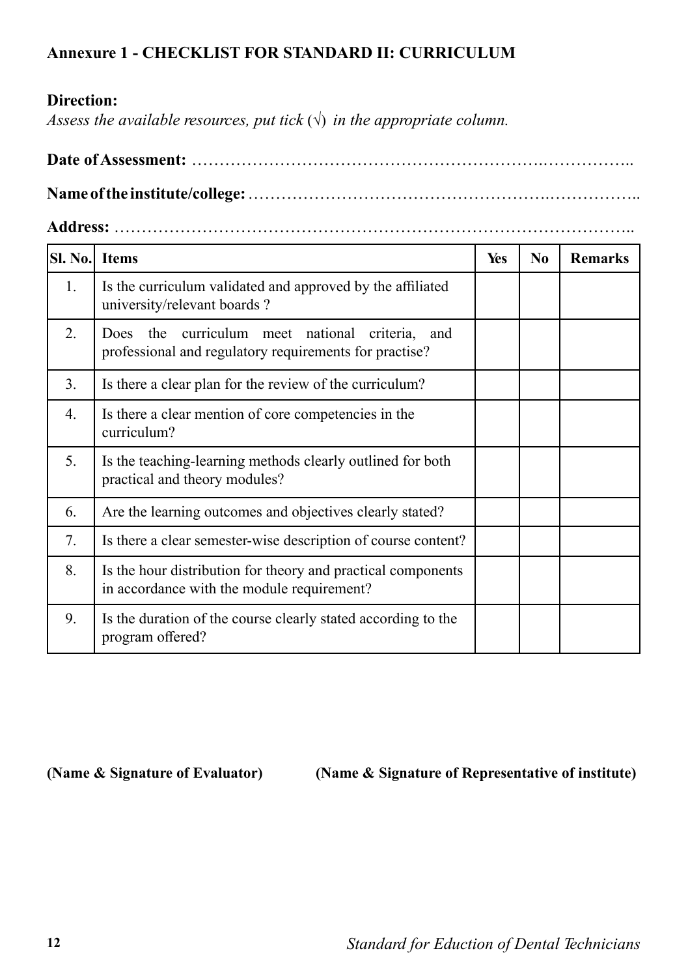#### **Annexure 1 - CHECKLIST FOR STANDARD II: CURRICULUM**

#### **Direction:**

*Assess the available resources, put tick*  $(\sqrt{})$  *in the appropriate column.* 

**Date of Assessment:** ……………………………………………………….……………..

**Name of the institute/college:** ……………………………………………….……………..

**Address:** …………………………………………………………………………………..

| SI. No. | <b>Items</b>                                                                                                 | Yes | N <sub>0</sub> | <b>Remarks</b> |
|---------|--------------------------------------------------------------------------------------------------------------|-----|----------------|----------------|
| 1.      | Is the curriculum validated and approved by the affiliated<br>university/relevant boards?                    |     |                |                |
| 2.      | the curriculum meet national criteria, and<br>Does<br>professional and regulatory requirements for practise? |     |                |                |
| 3.      | Is there a clear plan for the review of the curriculum?                                                      |     |                |                |
| 4.      | Is there a clear mention of core competencies in the<br>curriculum?                                          |     |                |                |
| 5.      | Is the teaching-learning methods clearly outlined for both<br>practical and theory modules?                  |     |                |                |
| 6.      | Are the learning outcomes and objectives clearly stated?                                                     |     |                |                |
| 7.      | Is there a clear semester-wise description of course content?                                                |     |                |                |
| 8.      | Is the hour distribution for theory and practical components<br>in accordance with the module requirement?   |     |                |                |
| 9.      | Is the duration of the course clearly stated according to the<br>program offered?                            |     |                |                |

**(Name & Signature of Evaluator) (Name & Signature of Representative of institute)**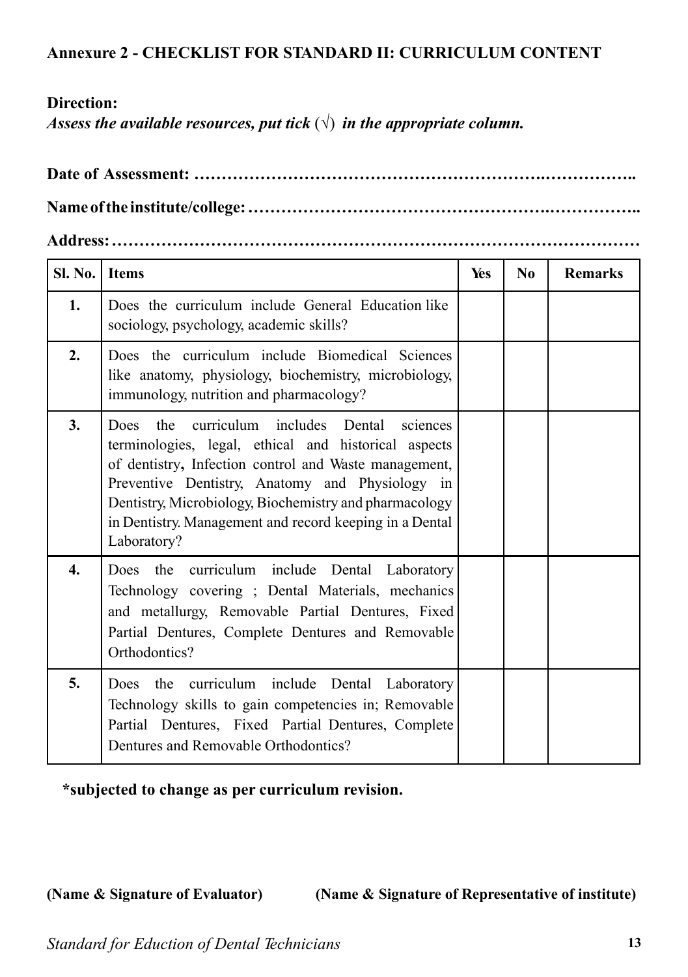#### **Direction:**

*Assess the available resources, put tick*  $(\sqrt{})$  *in the appropriate column.* 

## **Address: ……………………………………………………………………………………**

| <b>Sl. No.</b>   | <b>Items</b>                                                                                                                                                                                                                                                                                                                                            | Yes | $\bf No$ | <b>Remarks</b> |
|------------------|---------------------------------------------------------------------------------------------------------------------------------------------------------------------------------------------------------------------------------------------------------------------------------------------------------------------------------------------------------|-----|----------|----------------|
| 1.               | Does the curriculum include General Education like<br>sociology, psychology, academic skills?                                                                                                                                                                                                                                                           |     |          |                |
| 2.               | Does the curriculum include Biomedical Sciences<br>like anatomy, physiology, biochemistry, microbiology,<br>immunology, nutrition and pharmacology?                                                                                                                                                                                                     |     |          |                |
| 3.               | Does the curriculum includes Dental<br>sciences<br>terminologies, legal, ethical and historical aspects<br>of dentistry, Infection control and Waste management,<br>Preventive Dentistry, Anatomy and Physiology in<br>Dentistry, Microbiology, Biochemistry and pharmacology<br>in Dentistry. Management and record keeping in a Dental<br>Laboratory? |     |          |                |
| $\overline{4}$ . | Does the curriculum include Dental Laboratory<br>Technology covering ; Dental Materials, mechanics<br>and metallurgy, Removable Partial Dentures, Fixed<br>Partial Dentures, Complete Dentures and Removable<br>Orthodontics?                                                                                                                           |     |          |                |
| 5.               | Does the curriculum include Dental Laboratory<br>Technology skills to gain competencies in; Removable<br>Partial Dentures, Fixed Partial Dentures, Complete<br>Dentures and Removable Orthodontics?                                                                                                                                                     |     |          |                |

**\*subjected to change as per curriculum revision.**

**(Name & Signature of Evaluator) (Name & Signature of Representative of institute)**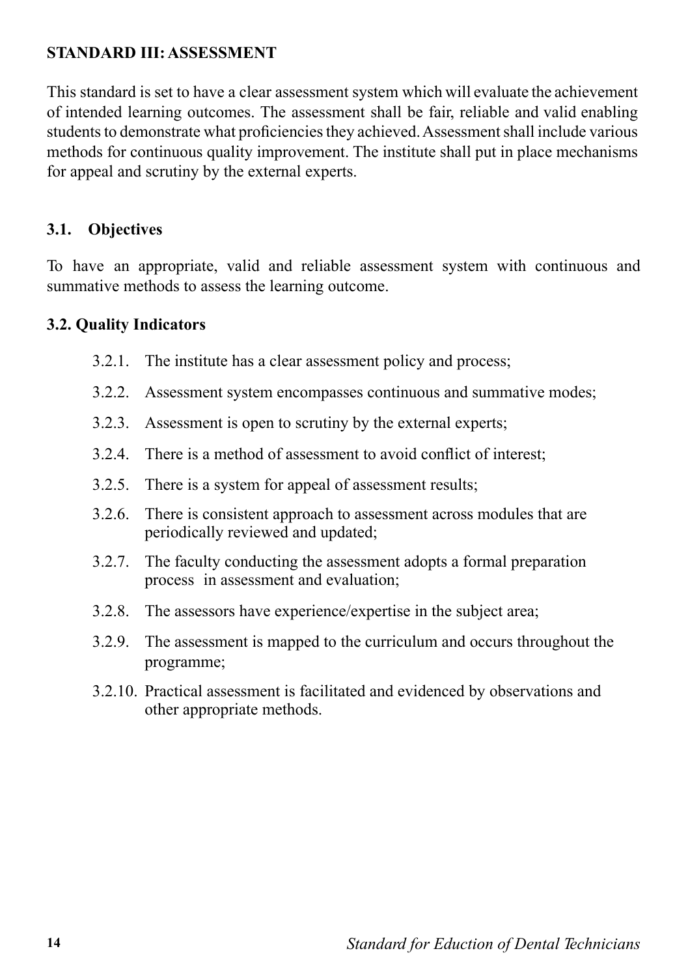#### **STANDARD III: ASSESSMENT**

This standard is set to have a clear assessment system which will evaluate the achievement of intended learning outcomes. The assessment shall be fair, reliable and valid enabling students to demonstrate what proficiencies they achieved. Assessment shall include various methods for continuous quality improvement. The institute shall put in place mechanisms for appeal and scrutiny by the external experts.

#### **3.1. Objectives**

To have an appropriate, valid and reliable assessment system with continuous and summative methods to assess the learning outcome.

#### **3.2. Quality Indicators**

- 3.2.1. The institute has a clear assessment policy and process;
- 3.2.2. Assessment system encompasses continuous and summative modes;
- 3.2.3. Assessment is open to scrutiny by the external experts;
- 3.2.4. There is a method of assessment to avoid conflict of interest;
- 3.2.5. There is a system for appeal of assessment results;
- 3.2.6. There is consistent approach to assessment across modules that are periodically reviewed and updated;
- 3.2.7. The faculty conducting the assessment adopts a formal preparation process in assessment and evaluation;
- 3.2.8. The assessors have experience/expertise in the subject area;
- 3.2.9. The assessment is mapped to the curriculum and occurs throughout the programme;
- 3.2.10. Practical assessment is facilitated and evidenced by observations and other appropriate methods.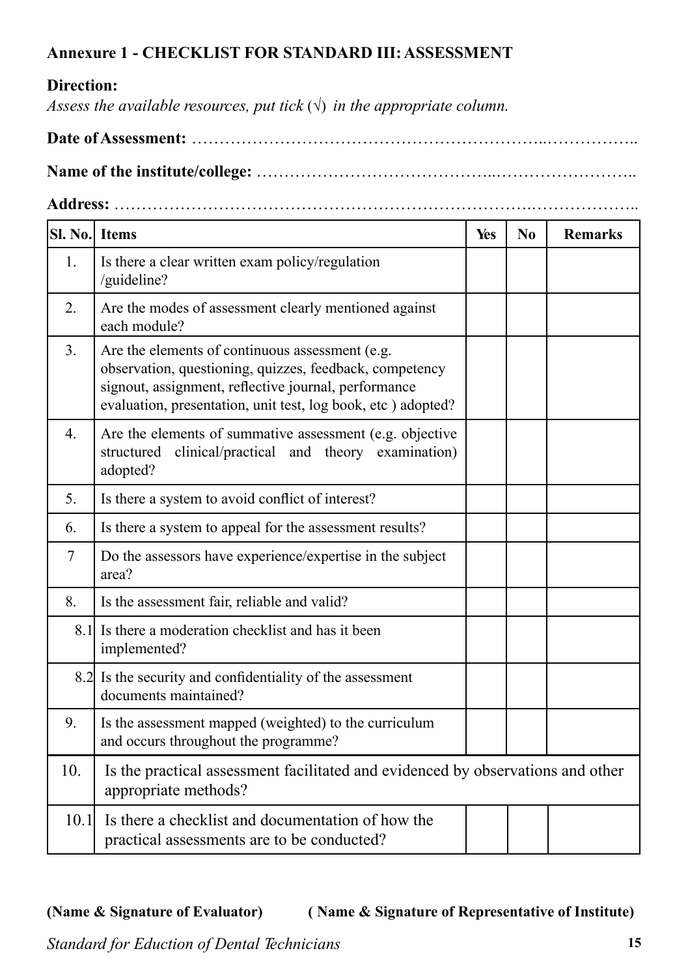#### **Annexure 1 - CHECKLIST FOR STANDARD III: ASSESSMENT**

#### **Direction:**

*Assess the available resources, put tick*  $(\sqrt{})$  *in the appropriate column.* 

**Date of Assessment:** ………………………………………………………..……………..

**Name of the institute/college:** ……………………………………..……………………..

**Address:** ………………………………………………………………….………………..

| <b>SI. No.</b> Items |                                                                                                                                                                                                                                    | <b>Yes</b> | N <sub>0</sub> | <b>Remarks</b> |
|----------------------|------------------------------------------------------------------------------------------------------------------------------------------------------------------------------------------------------------------------------------|------------|----------------|----------------|
| 1.                   | Is there a clear written exam policy/regulation<br>/guideline?                                                                                                                                                                     |            |                |                |
| 2.                   | Are the modes of assessment clearly mentioned against<br>each module?                                                                                                                                                              |            |                |                |
| 3.                   | Are the elements of continuous assessment (e.g.<br>observation, questioning, quizzes, feedback, competency<br>signout, assignment, reflective journal, performance<br>evaluation, presentation, unit test, log book, etc) adopted? |            |                |                |
| $\overline{4}$ .     | Are the elements of summative assessment (e.g. objective<br>structured clinical/practical and theory examination)<br>adopted?                                                                                                      |            |                |                |
| 5.                   | Is there a system to avoid conflict of interest?                                                                                                                                                                                   |            |                |                |
| 6.                   | Is there a system to appeal for the assessment results?                                                                                                                                                                            |            |                |                |
| 7                    | Do the assessors have experience/expertise in the subject<br>area?                                                                                                                                                                 |            |                |                |
| 8.                   | Is the assessment fair, reliable and valid?                                                                                                                                                                                        |            |                |                |
|                      | 8.1 Is there a moderation checklist and has it been<br>implemented?                                                                                                                                                                |            |                |                |
|                      | 8.2 Is the security and confidentiality of the assessment<br>documents maintained?                                                                                                                                                 |            |                |                |
| 9.                   | Is the assessment mapped (weighted) to the curriculum<br>and occurs throughout the programme?                                                                                                                                      |            |                |                |
| 10.                  | Is the practical assessment facilitated and evidenced by observations and other<br>appropriate methods?                                                                                                                            |            |                |                |
| 10.1                 | Is there a checklist and documentation of how the<br>practical assessments are to be conducted?                                                                                                                                    |            |                |                |

#### **(Name & Signature of Evaluator) ( Name & Signature of Representative of Institute)**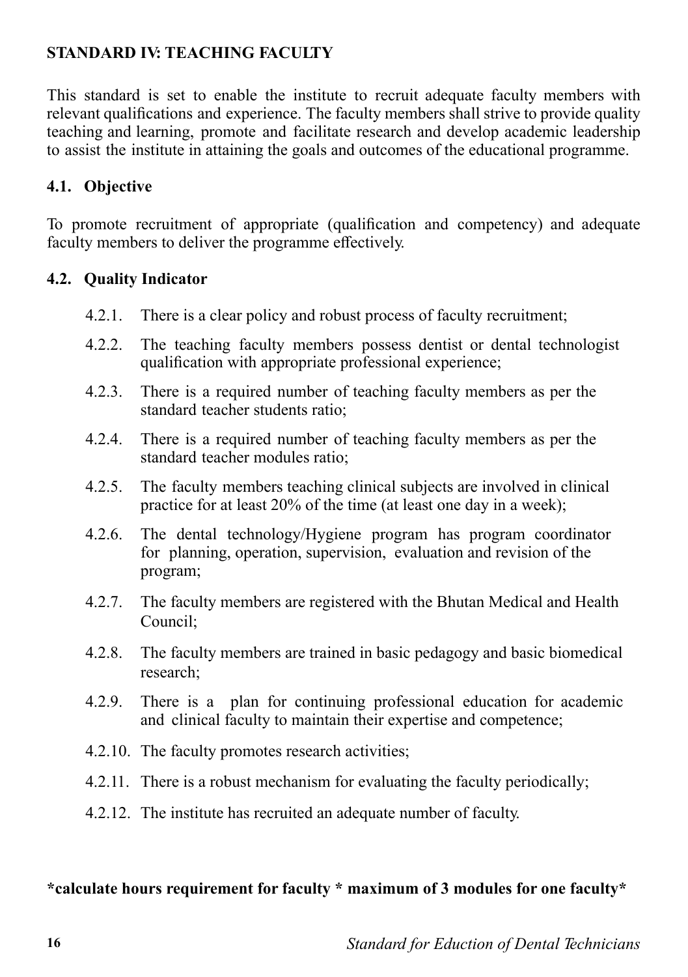### **STANDARD IV: TEACHING FACULTY**

This standard is set to enable the institute to recruit adequate faculty members with relevant qualifications and experience. The faculty members shall strive to provide quality teaching and learning, promote and facilitate research and develop academic leadership to assist the institute in attaining the goals and outcomes of the educational programme.

#### **4.1. Objective**

To promote recruitment of appropriate (qualification and competency) and adequate faculty members to deliver the programme effectively.

#### **4.2. Quality Indicator**

- 4.2.1. There is a clear policy and robust process of faculty recruitment;
- 4.2.2. The teaching faculty members possess dentist or dental technologist qualification with appropriate professional experience;
- 4.2.3. There is a required number of teaching faculty members as per the standard teacher students ratio;
- 4.2.4. There is a required number of teaching faculty members as per the standard teacher modules ratio;
- 4.2.5. The faculty members teaching clinical subjects are involved in clinical practice for at least 20% of the time (at least one day in a week);
- 4.2.6. The dental technology/Hygiene program has program coordinator for planning, operation, supervision, evaluation and revision of the program;
- 4.2.7. The faculty members are registered with the Bhutan Medical and Health Council;
- 4.2.8. The faculty members are trained in basic pedagogy and basic biomedical research;
- 4.2.9. There is a plan for continuing professional education for academic and clinical faculty to maintain their expertise and competence;
- 4.2.10. The faculty promotes research activities;
- 4.2.11. There is a robust mechanism for evaluating the faculty periodically;
- 4.2.12. The institute has recruited an adequate number of faculty.

#### **\*calculate hours requirement for faculty \* maximum of 3 modules for one faculty\***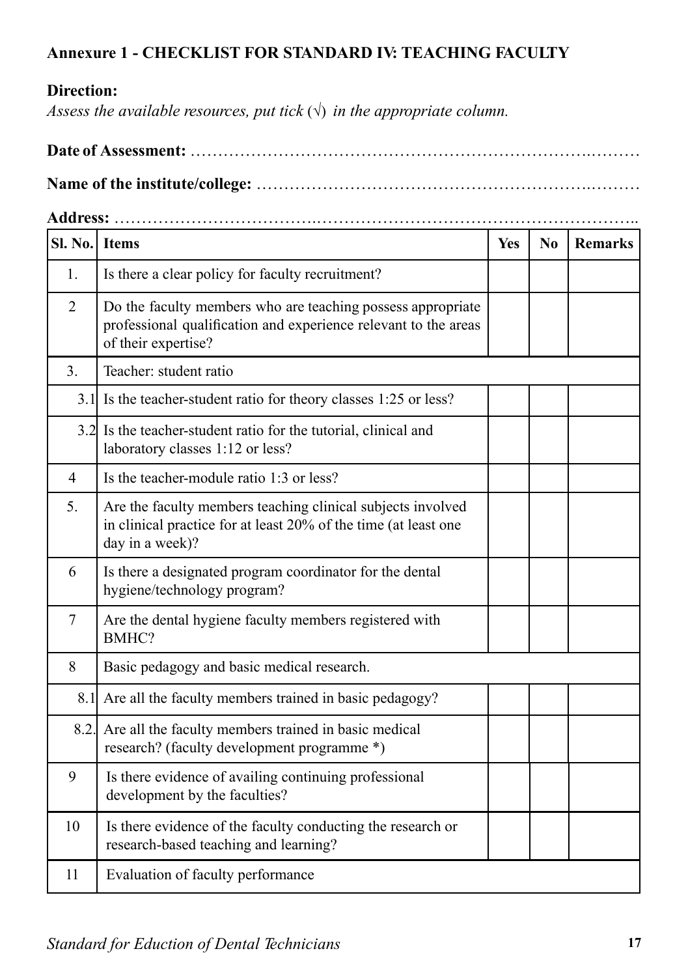### **Annexure 1 - CHECKLIST FOR STANDARD IV: TEACHING FACULTY**

#### **Direction:**

*Assess the available resources, put tick*  $(\sqrt{})$  *in the appropriate column.* 

|--|--|

**Name of the institute/college:** …………………………………………………….………

**Address:** ……………………………….…………………………………………………..

| Sl. No. I Items |                                                                                                                                                       | Yes | No | <b>Remarks</b> |
|-----------------|-------------------------------------------------------------------------------------------------------------------------------------------------------|-----|----|----------------|
| 1.              | Is there a clear policy for faculty recruitment?                                                                                                      |     |    |                |
| $\overline{2}$  | Do the faculty members who are teaching possess appropriate<br>professional qualification and experience relevant to the areas<br>of their expertise? |     |    |                |
| 3.              | Teacher: student ratio                                                                                                                                |     |    |                |
|                 | 3.1 Is the teacher-student ratio for theory classes 1:25 or less?                                                                                     |     |    |                |
|                 | 3.2 Is the teacher-student ratio for the tutorial, clinical and<br>laboratory classes 1:12 or less?                                                   |     |    |                |
| 4               | Is the teacher-module ratio 1:3 or less?                                                                                                              |     |    |                |
| 5.              | Are the faculty members teaching clinical subjects involved<br>in clinical practice for at least 20% of the time (at least one<br>day in a week)?     |     |    |                |
| 6               | Is there a designated program coordinator for the dental<br>hygiene/technology program?                                                               |     |    |                |
| $\overline{7}$  | Are the dental hygiene faculty members registered with<br>BMHC?                                                                                       |     |    |                |
| 8               | Basic pedagogy and basic medical research.                                                                                                            |     |    |                |
|                 | 8.1 Are all the faculty members trained in basic pedagogy?                                                                                            |     |    |                |
|                 | 8.2. Are all the faculty members trained in basic medical<br>research? (faculty development programme *)                                              |     |    |                |
| 9               | Is there evidence of availing continuing professional<br>development by the faculties?                                                                |     |    |                |
| 10              | Is there evidence of the faculty conducting the research or<br>research-based teaching and learning?                                                  |     |    |                |
| 11              | Evaluation of faculty performance                                                                                                                     |     |    |                |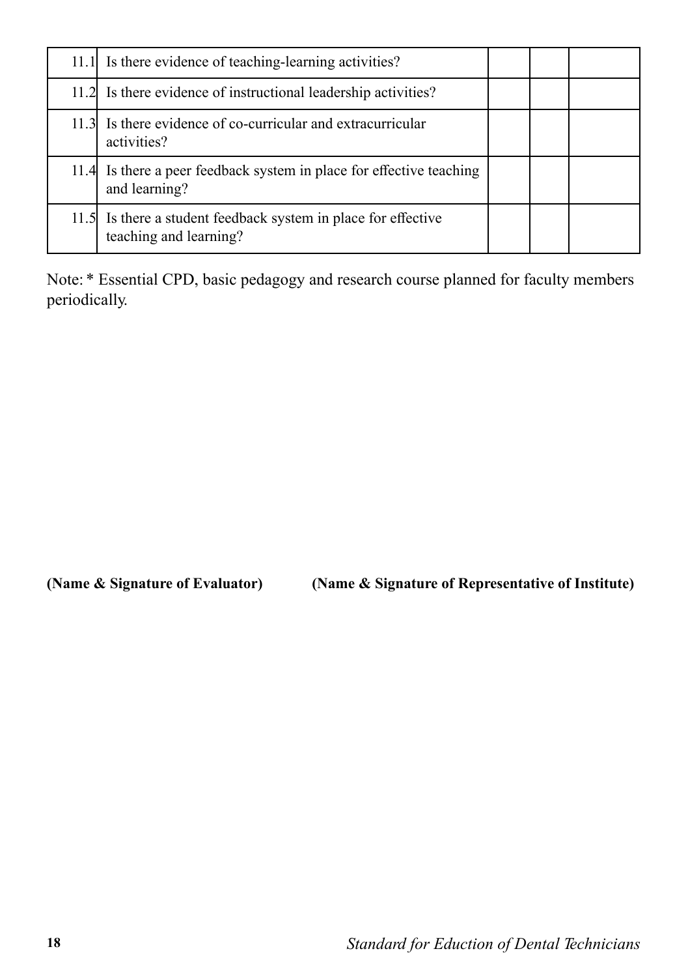| 11.1 Is there evidence of teaching-learning activities?                                  |  |  |
|------------------------------------------------------------------------------------------|--|--|
| 11.2 Is there evidence of instructional leadership activities?                           |  |  |
| 11.3 Is there evidence of co-curricular and extracurricular<br>activities?               |  |  |
| 11.4 Is there a peer feedback system in place for effective teaching<br>and learning?    |  |  |
| 11.5 Is there a student feedback system in place for effective<br>teaching and learning? |  |  |

Note: \* Essential CPD, basic pedagogy and research course planned for faculty members periodically.

**(Name & Signature of Evaluator) (Name & Signature of Representative of Institute)**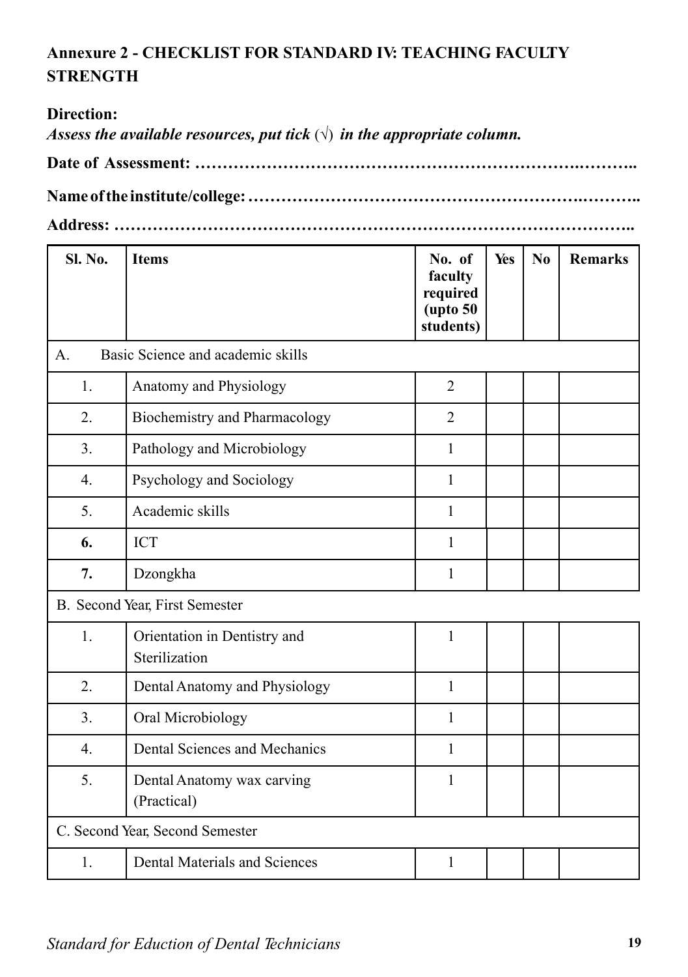# **Annexure 2 - CHECKLIST FOR STANDARD IV: TEACHING FACULTY STRENGTH**

#### **Direction:**

*Assess the available resources, put tick*  $(\sqrt{})$  *in the appropriate column.* 

**Date of Assessment: …………………………………………………………….………..** 

**Name of the institute/college: …………………………………………………….………..** 

**Address: …………………………………………………………………………………..**

| <b>Sl. No.</b> | <b>Items</b>                                  | No. of<br>faculty<br>required<br>$($ upto 50<br>students) | Yes | No | <b>Remarks</b> |
|----------------|-----------------------------------------------|-----------------------------------------------------------|-----|----|----------------|
| $\mathsf{A}$ . | Basic Science and academic skills             |                                                           |     |    |                |
| 1.             | Anatomy and Physiology                        | $\overline{2}$                                            |     |    |                |
| 2.             | Biochemistry and Pharmacology                 | $\overline{2}$                                            |     |    |                |
| 3.             | Pathology and Microbiology                    | $\mathbf{1}$                                              |     |    |                |
| 4.             | Psychology and Sociology                      | 1                                                         |     |    |                |
| 5.             | Academic skills                               | 1                                                         |     |    |                |
| 6.             | <b>ICT</b>                                    | $\mathbf{1}$                                              |     |    |                |
| 7.             | Dzongkha                                      | 1                                                         |     |    |                |
|                | B. Second Year, First Semester                |                                                           |     |    |                |
| 1.             | Orientation in Dentistry and<br>Sterilization | $\mathbf{1}$                                              |     |    |                |
| 2.             | Dental Anatomy and Physiology                 | $\mathbf{1}$                                              |     |    |                |
| 3.             | Oral Microbiology                             | $\mathbf{1}$                                              |     |    |                |
| 4.             | Dental Sciences and Mechanics                 | $\mathbf{1}$                                              |     |    |                |
| 5.             | Dental Anatomy wax carving<br>(Practical)     | $\mathbf{1}$                                              |     |    |                |
|                | C. Second Year, Second Semester               |                                                           |     |    |                |
| 1.             | <b>Dental Materials and Sciences</b>          | 1                                                         |     |    |                |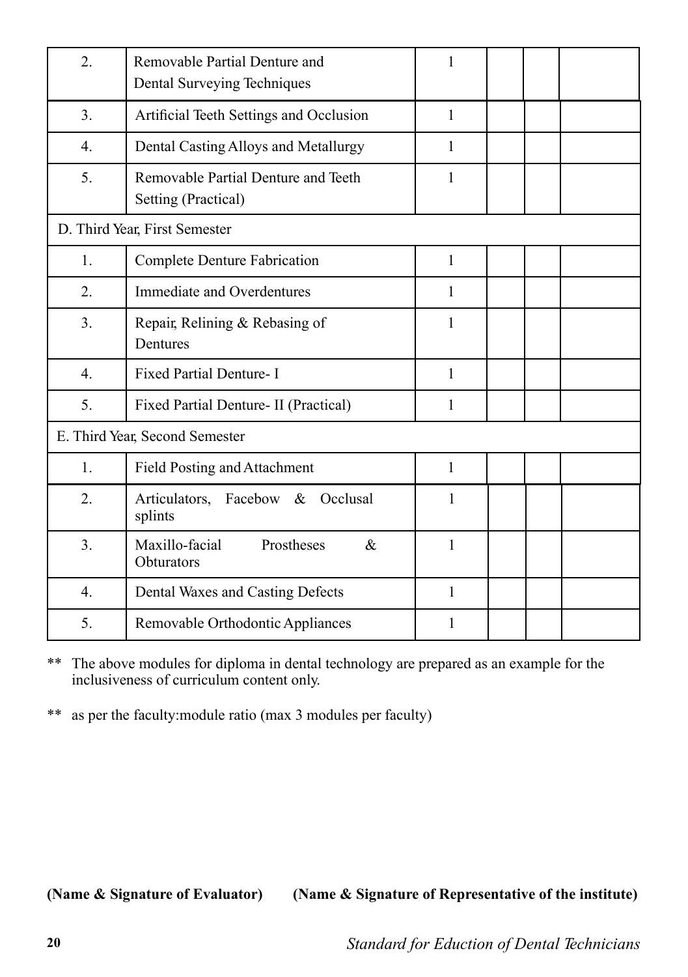| 2.               | Removable Partial Denture and<br>Dental Surveying Techniques | 1            |  |  |
|------------------|--------------------------------------------------------------|--------------|--|--|
| $\overline{3}$ . | Artificial Teeth Settings and Occlusion                      | $\mathbf{1}$ |  |  |
| 4.               | Dental Casting Alloys and Metallurgy                         | $\mathbf{1}$ |  |  |
| 5.               | Removable Partial Denture and Teeth<br>Setting (Practical)   | 1            |  |  |
|                  | D. Third Year, First Semester                                |              |  |  |
| 1.               | <b>Complete Denture Fabrication</b>                          | 1            |  |  |
| 2.               | Immediate and Overdentures                                   | 1            |  |  |
| 3.               | Repair, Relining & Rebasing of<br>Dentures                   | 1            |  |  |
| $\overline{4}$ . | Fixed Partial Denture- I                                     | $\mathbf{1}$ |  |  |
| 5.               | Fixed Partial Denture- II (Practical)                        | 1            |  |  |
|                  | E. Third Year, Second Semester                               |              |  |  |
| 1.               | Field Posting and Attachment                                 | $\mathbf{1}$ |  |  |
| 2.               | Articulators, Facebow & Occlusal<br>splints                  | 1            |  |  |
| 3.               | Prostheses<br>Maxillo-facial<br>$\&$<br>Obturators           | $\mathbf{1}$ |  |  |
| $\overline{4}$ . | Dental Waxes and Casting Defects                             | 1            |  |  |
| 5.               | Removable Orthodontic Appliances                             | 1            |  |  |

\*\* The above modules for diploma in dental technology are prepared as an example for the inclusiveness of curriculum content only.

\*\* as per the faculty:module ratio (max 3 modules per faculty)

**(Name & Signature of Evaluator) (Name & Signature of Representative of the institute)**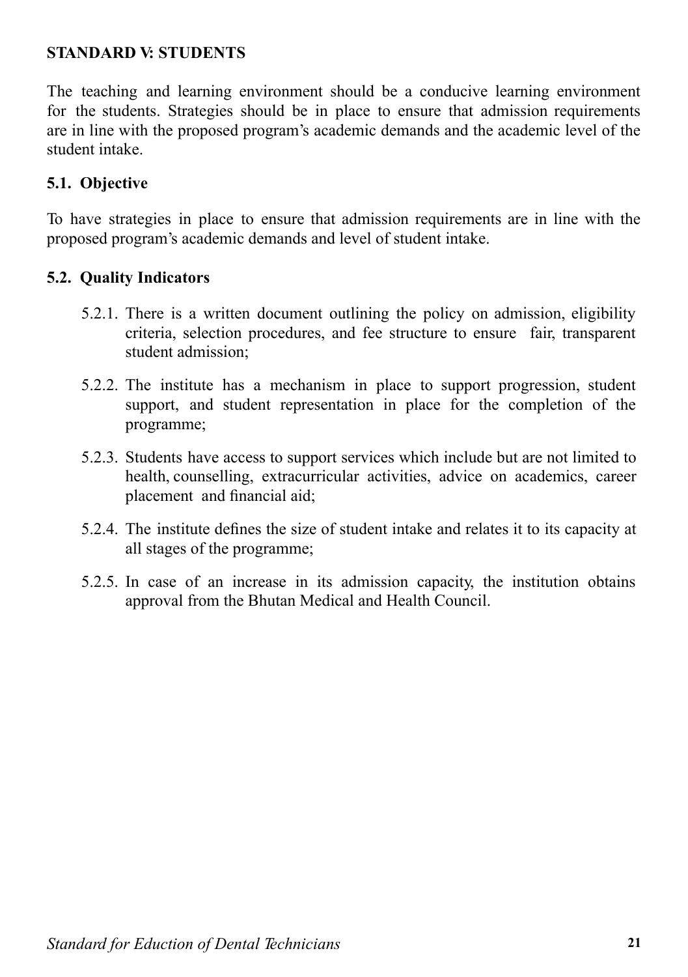#### **STANDARD V: STUDENTS**

The teaching and learning environment should be a conducive learning environment for the students. Strategies should be in place to ensure that admission requirements are in line with the proposed program's academic demands and the academic level of the student intake.

#### **5.1. Objective**

To have strategies in place to ensure that admission requirements are in line with the proposed program's academic demands and level of student intake.

#### **5.2. Quality Indicators**

- 5.2.1. There is a written document outlining the policy on admission, eligibility criteria, selection procedures, and fee structure to ensure fair, transparent student admission;
- 5.2.2. The institute has a mechanism in place to support progression, student support, and student representation in place for the completion of the programme;
- 5.2.3. Students have access to support services which include but are not limited to health, counselling, extracurricular activities, advice on academics, career placement and financial aid;
- 5.2.4. The institute defines the size of student intake and relates it to its capacity at all stages of the programme;
- 5.2.5. In case of an increase in its admission capacity, the institution obtains approval from the Bhutan Medical and Health Council.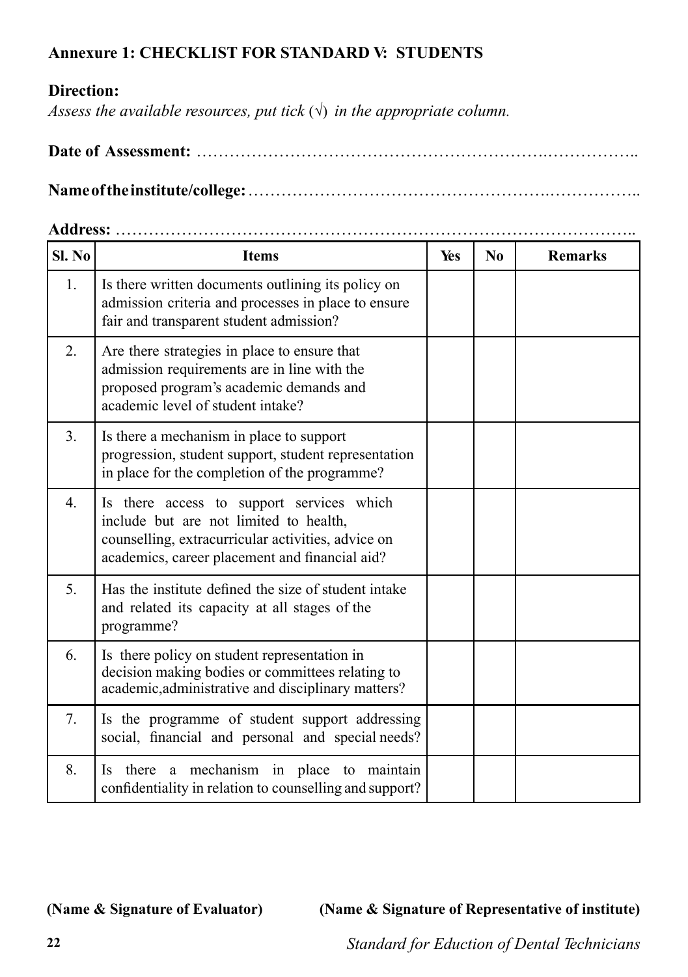#### **Annexure 1: CHECKLIST FOR STANDARD V: STUDENTS**

#### **Direction:**

*Assess the available resources, put tick*  $(\sqrt{})$  *in the appropriate column.* 

|--|--|

**Name of the institute/college:** ……………………………………………….……………..

#### **Address:** …………………………………………………………………………………..

| Sl. No | <b>Items</b>                                                                                                                                                                                | Yes | No | <b>Remarks</b> |
|--------|---------------------------------------------------------------------------------------------------------------------------------------------------------------------------------------------|-----|----|----------------|
| 1.     | Is there written documents outlining its policy on<br>admission criteria and processes in place to ensure<br>fair and transparent student admission?                                        |     |    |                |
| 2.     | Are there strategies in place to ensure that<br>admission requirements are in line with the<br>proposed program's academic demands and<br>academic level of student intake?                 |     |    |                |
| 3.     | Is there a mechanism in place to support<br>progression, student support, student representation<br>in place for the completion of the programme?                                           |     |    |                |
| 4.     | Is there access to support services which<br>include but are not limited to health,<br>counselling, extracurricular activities, advice on<br>academics, career placement and financial aid? |     |    |                |
| 5.     | Has the institute defined the size of student intake<br>and related its capacity at all stages of the<br>programme?                                                                         |     |    |                |
| 6.     | Is there policy on student representation in<br>decision making bodies or committees relating to<br>academic, administrative and disciplinary matters?                                      |     |    |                |
| 7.     | Is the programme of student support addressing<br>social, financial and personal and special needs?                                                                                         |     |    |                |
| 8.     | mechanism in place to maintain<br>Is there<br>$\rm{a}$<br>confidentiality in relation to counselling and support?                                                                           |     |    |                |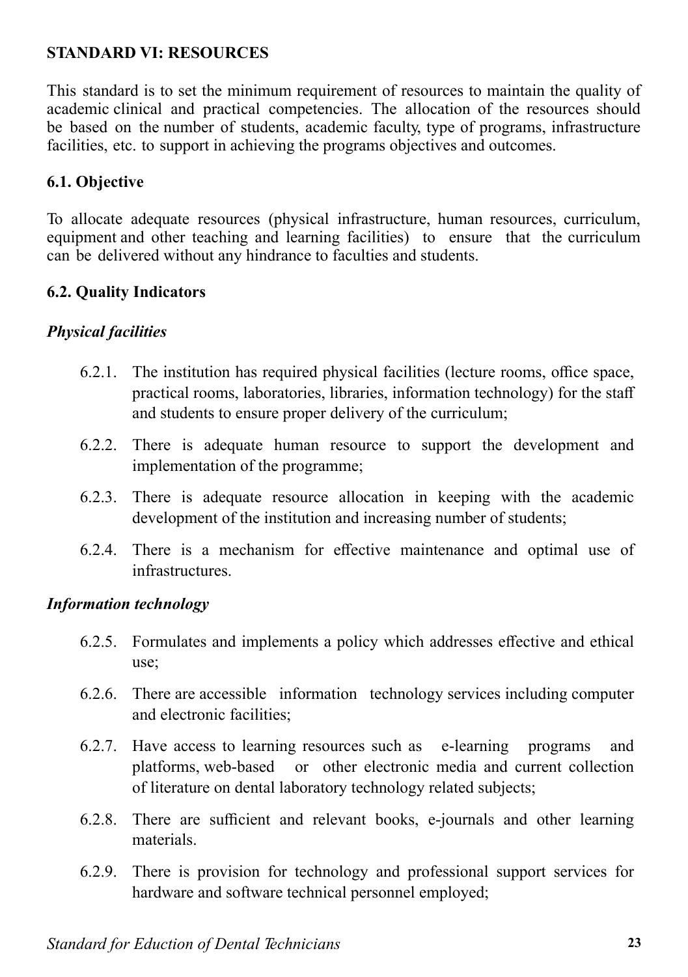#### **STANDARD VI: RESOURCES**

This standard is to set the minimum requirement of resources to maintain the quality of academic clinical and practical competencies. The allocation of the resources should be based on the number of students, academic faculty, type of programs, infrastructure facilities, etc. to support in achieving the programs objectives and outcomes.

#### **6.1. Objective**

To allocate adequate resources (physical infrastructure, human resources, curriculum, equipment and other teaching and learning facilities) to ensure that the curriculum can be delivered without any hindrance to faculties and students.

#### **6.2. Quality Indicators**

#### *Physical facilities*

- 6.2.1. The institution has required physical facilities (lecture rooms, office space, practical rooms, laboratories, libraries, information technology) for the staff and students to ensure proper delivery of the curriculum;
- 6.2.2. There is adequate human resource to support the development and implementation of the programme;
- 6.2.3. There is adequate resource allocation in keeping with the academic development of the institution and increasing number of students;
- 6.2.4. There is a mechanism for effective maintenance and optimal use of infrastructures.

#### *Information technology*

- 6.2.5. Formulates and implements a policy which addresses effective and ethical use;
- 6.2.6. There are accessible information technology services including computer and electronic facilities;
- 6.2.7. Have access to learning resources such as e-learning programs and platforms, web-based or other electronic media and current collection of literature on dental laboratory technology related subjects;
- 6.2.8. There are sufficient and relevant books, e-journals and other learning materials.
- 6.2.9. There is provision for technology and professional support services for hardware and software technical personnel employed;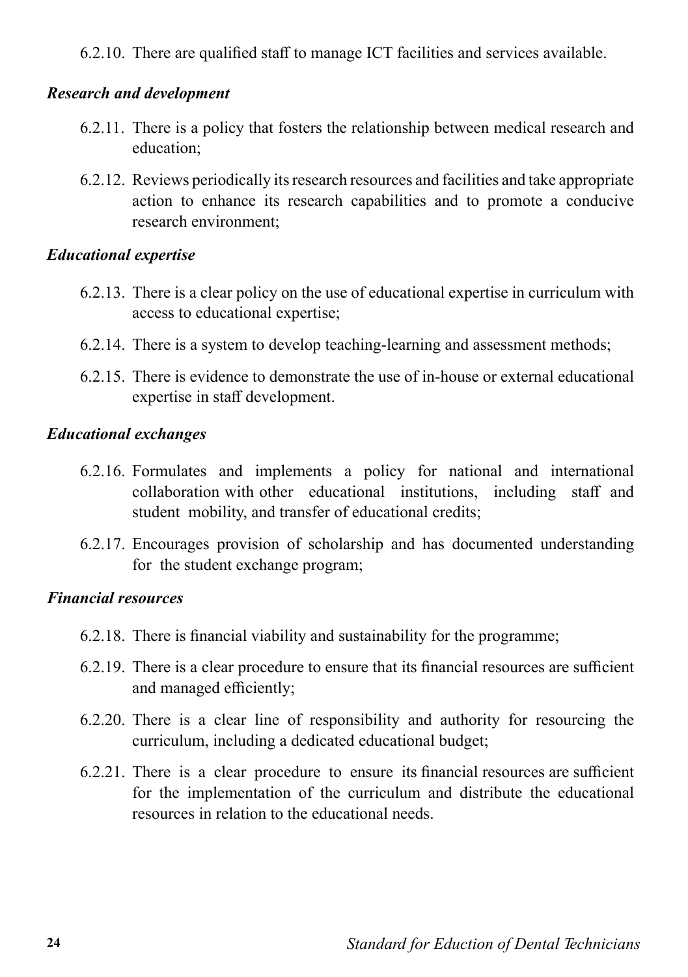6.2.10. There are qualified staff to manage ICT facilities and services available.

#### *Research and development*

- 6.2.11. There is a policy that fosters the relationship between medical research and education;
- 6.2.12. Reviews periodically its research resources and facilities and take appropriate action to enhance its research capabilities and to promote a conducive research environment;

#### *Educational expertise*

- 6.2.13. There is a clear policy on the use of educational expertise in curriculum with access to educational expertise;
- 6.2.14. There is a system to develop teaching-learning and assessment methods;
- 6.2.15. There is evidence to demonstrate the use of in-house or external educational expertise in staff development.

#### *Educational exchanges*

- 6.2.16. Formulates and implements a policy for national and international collaboration with other educational institutions, including staff and student mobility, and transfer of educational credits;
- 6.2.17. Encourages provision of scholarship and has documented understanding for the student exchange program;

#### *Financial resources*

- 6.2.18. There is financial viability and sustainability for the programme;
- 6.2.19. There is a clear procedure to ensure that its financial resources are sufficient and managed efficiently;
- 6.2.20. There is a clear line of responsibility and authority for resourcing the curriculum, including a dedicated educational budget;
- 6.2.21. There is a clear procedure to ensure its financial resources are sufficient for the implementation of the curriculum and distribute the educational resources in relation to the educational needs.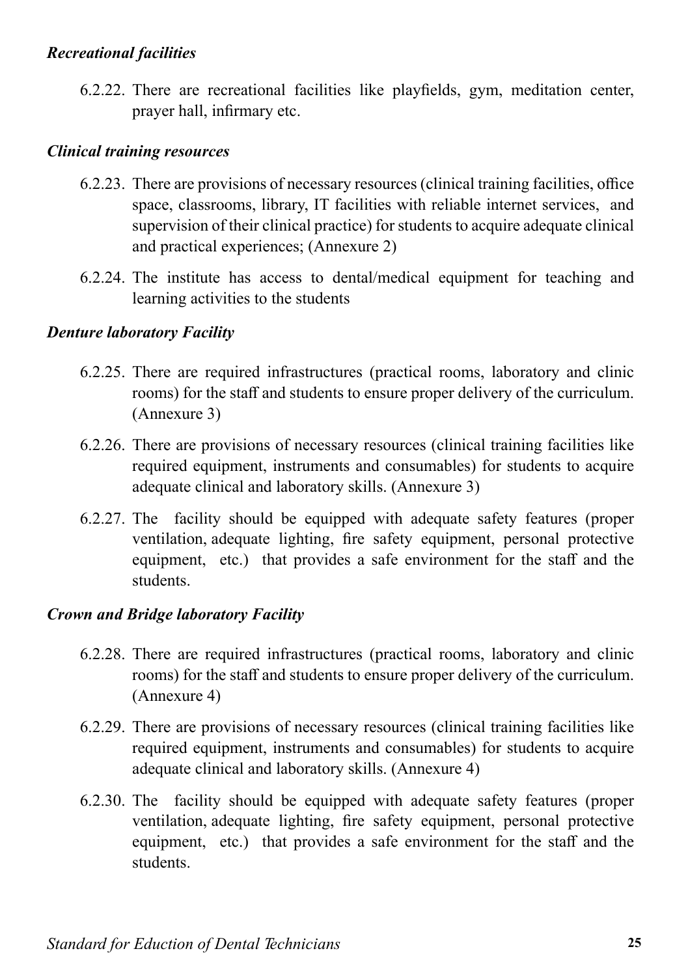#### *Recreational facilities*

6.2.22. There are recreational facilities like playfields, gym, meditation center, prayer hall, infirmary etc.

#### *Clinical training resources*

- 6.2.23. There are provisions of necessary resources (clinical training facilities, office space, classrooms, library, IT facilities with reliable internet services, and supervision of their clinical practice) for students to acquire adequate clinical and practical experiences; (Annexure 2)
- 6.2.24. The institute has access to dental/medical equipment for teaching and learning activities to the students

#### *Denture laboratory Facility*

- 6.2.25. There are required infrastructures (practical rooms, laboratory and clinic rooms) for the staff and students to ensure proper delivery of the curriculum. (Annexure 3)
- 6.2.26. There are provisions of necessary resources (clinical training facilities like required equipment, instruments and consumables) for students to acquire adequate clinical and laboratory skills. (Annexure 3)
- 6.2.27. The facility should be equipped with adequate safety features (proper ventilation, adequate lighting, fire safety equipment, personal protective equipment, etc.) that provides a safe environment for the staff and the students.

#### *Crown and Bridge laboratory Facility*

- 6.2.28. There are required infrastructures (practical rooms, laboratory and clinic rooms) for the staff and students to ensure proper delivery of the curriculum. (Annexure 4)
- 6.2.29. There are provisions of necessary resources (clinical training facilities like required equipment, instruments and consumables) for students to acquire adequate clinical and laboratory skills. (Annexure 4)
- 6.2.30. The facility should be equipped with adequate safety features (proper ventilation, adequate lighting, fire safety equipment, personal protective equipment, etc.) that provides a safe environment for the staff and the students.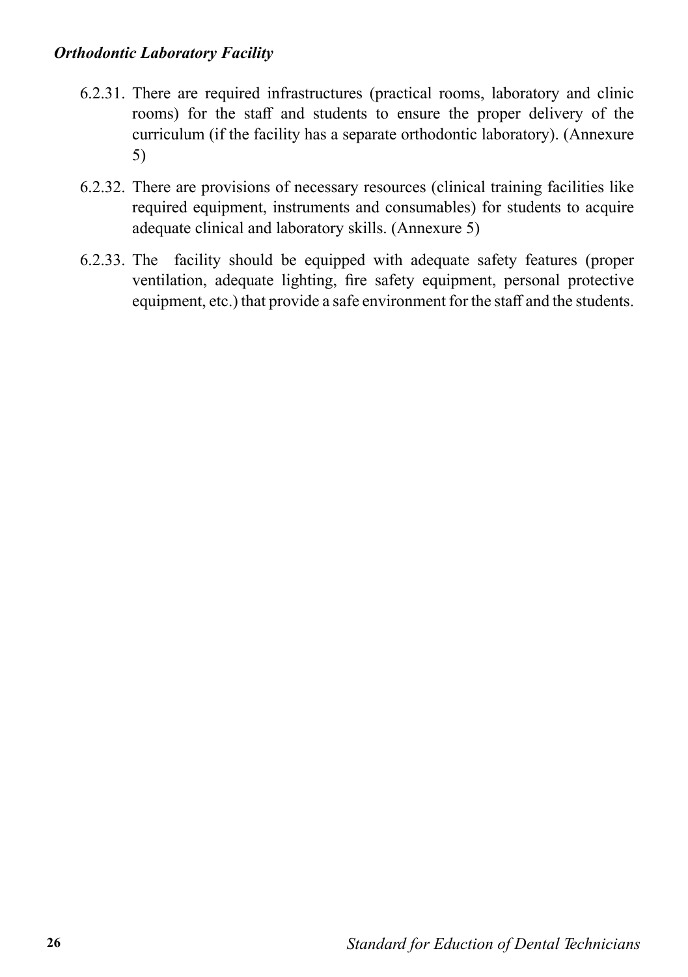- 6.2.31. There are required infrastructures (practical rooms, laboratory and clinic rooms) for the staff and students to ensure the proper delivery of the curriculum (if the facility has a separate orthodontic laboratory). (Annexure 5)
- 6.2.32. There are provisions of necessary resources (clinical training facilities like required equipment, instruments and consumables) for students to acquire adequate clinical and laboratory skills. (Annexure 5)
- 6.2.33. The facility should be equipped with adequate safety features (proper ventilation, adequate lighting, fire safety equipment, personal protective equipment, etc.) that provide a safe environment for the staff and the students.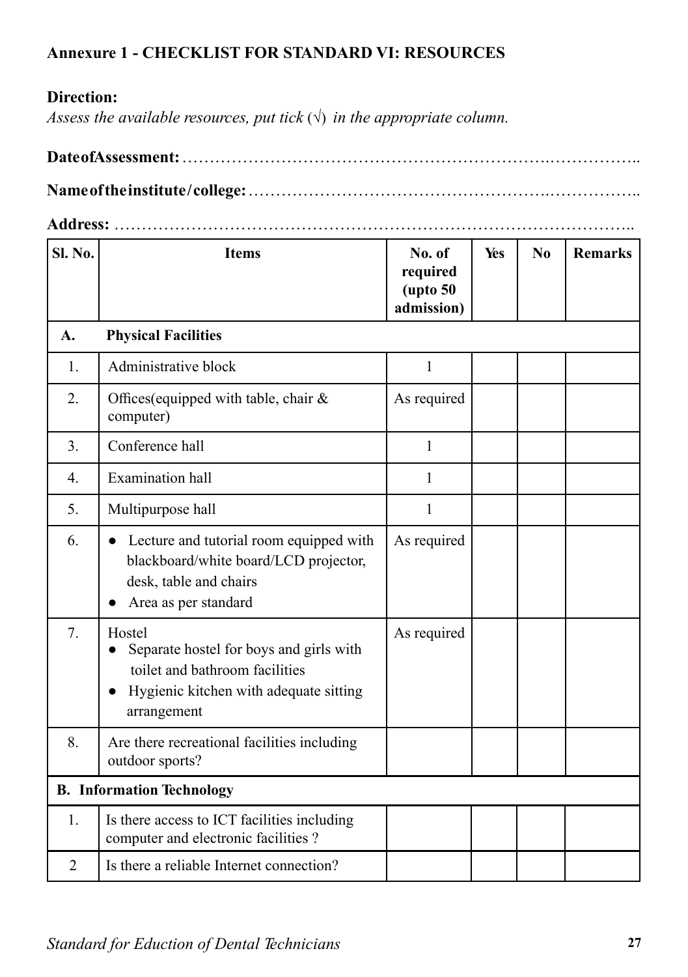#### **Annexure 1 - CHECKLIST FOR STANDARD VI: RESOURCES**

#### **Direction:**

*Assess the available resources, put tick*  $(\sqrt{})$  *in the appropriate column.* 

**Date of Assessment:** ………………………………………………………….……………..

**Name of the institute / college:** ……………………………………………….……………..

**Address:** …………………………………………………………………………………..

| Sl. No.        | <b>Items</b>                                                                                                                                                           | No. of<br>required<br>$($ upto 50<br>admission) | Yes | N <sub>0</sub> | <b>Remarks</b> |
|----------------|------------------------------------------------------------------------------------------------------------------------------------------------------------------------|-------------------------------------------------|-----|----------------|----------------|
| A.             | <b>Physical Facilities</b>                                                                                                                                             |                                                 |     |                |                |
| 1.             | Administrative block                                                                                                                                                   | $\mathbf{1}$                                    |     |                |                |
| 2.             | Offices (equipped with table, chair &<br>computer)                                                                                                                     | As required                                     |     |                |                |
| 3.             | Conference hall                                                                                                                                                        | $\mathbf{1}$                                    |     |                |                |
| 4.             | <b>Examination</b> hall                                                                                                                                                | 1                                               |     |                |                |
| 5.             | Multipurpose hall                                                                                                                                                      | 1                                               |     |                |                |
| 6.             | Lecture and tutorial room equipped with<br>blackboard/white board/LCD projector,<br>desk, table and chairs<br>Area as per standard                                     | As required                                     |     |                |                |
| 7.             | Hostel<br>Separate hostel for boys and girls with<br>$\bullet$<br>toilet and bathroom facilities<br>Hygienic kitchen with adequate sitting<br>$\bullet$<br>arrangement | As required                                     |     |                |                |
| 8.             | Are there recreational facilities including<br>outdoor sports?                                                                                                         |                                                 |     |                |                |
|                | <b>B.</b> Information Technology                                                                                                                                       |                                                 |     |                |                |
| 1.             | Is there access to ICT facilities including<br>computer and electronic facilities?                                                                                     |                                                 |     |                |                |
| $\overline{2}$ | Is there a reliable Internet connection?                                                                                                                               |                                                 |     |                |                |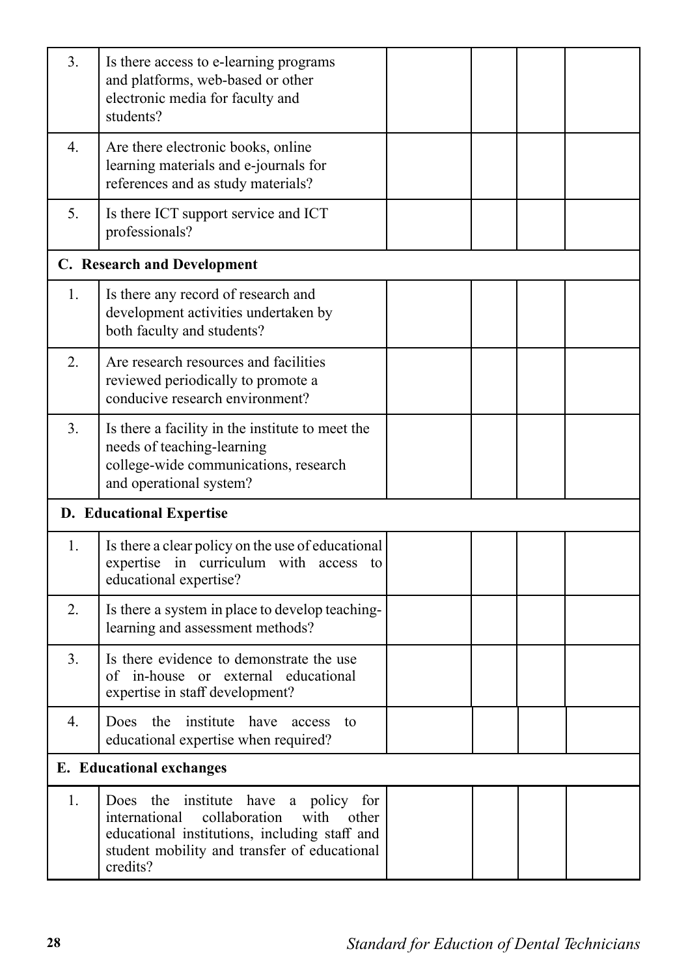| 3. | Is there access to e-learning programs<br>and platforms, web-based or other<br>electronic media for faculty and<br>students?                                                                         |  |  |
|----|------------------------------------------------------------------------------------------------------------------------------------------------------------------------------------------------------|--|--|
| 4. | Are there electronic books, online<br>learning materials and e-journals for<br>references and as study materials?                                                                                    |  |  |
| 5. | Is there ICT support service and ICT<br>professionals?                                                                                                                                               |  |  |
|    | C. Research and Development                                                                                                                                                                          |  |  |
| 1. | Is there any record of research and<br>development activities undertaken by<br>both faculty and students?                                                                                            |  |  |
| 2. | Are research resources and facilities<br>reviewed periodically to promote a<br>conducive research environment?                                                                                       |  |  |
| 3. | Is there a facility in the institute to meet the<br>needs of teaching-learning<br>college-wide communications, research<br>and operational system?                                                   |  |  |
|    | <b>D.</b> Educational Expertise                                                                                                                                                                      |  |  |
| 1. | Is there a clear policy on the use of educational<br>expertise in curriculum with access to<br>educational expertise?                                                                                |  |  |
| 2. | Is there a system in place to develop teaching-<br>learning and assessment methods?                                                                                                                  |  |  |
| 3  | Is there evidence to demonstrate the use<br>of in-house or external educational<br>expertise in staff development?                                                                                   |  |  |
| 4. | Does the institute have access to<br>educational expertise when required?                                                                                                                            |  |  |
|    | <b>E.</b> Educational exchanges                                                                                                                                                                      |  |  |
| 1. | Does the institute have a policy for<br>international<br>collaboration<br>with<br>other<br>educational institutions, including staff and<br>student mobility and transfer of educational<br>credits? |  |  |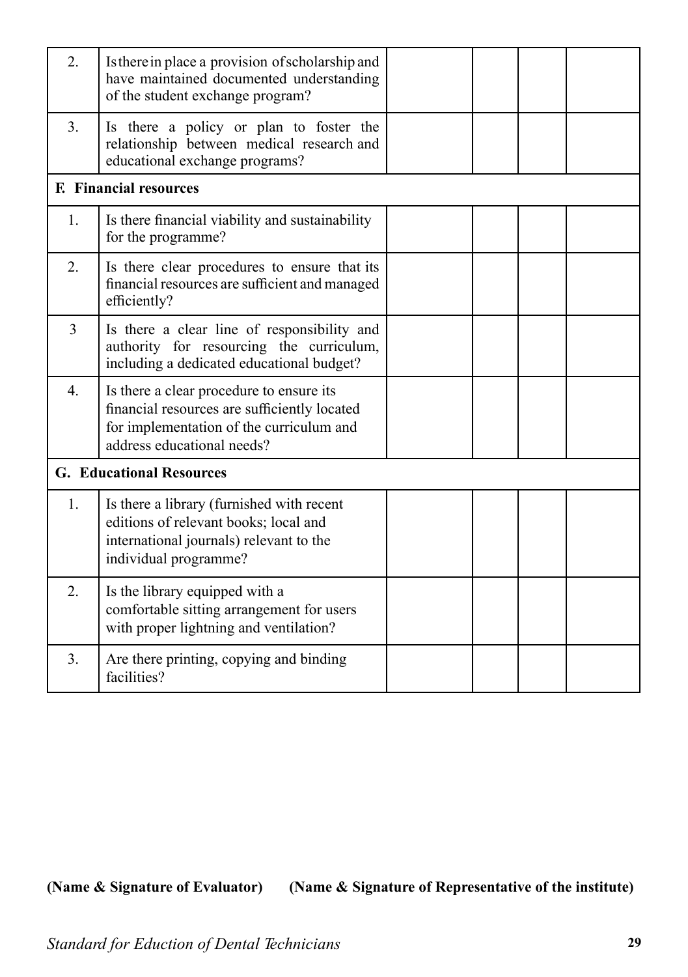| 2.               | Is there in place a provision of scholarship and<br>have maintained documented understanding<br>of the student exchange program?                                   |  |  |
|------------------|--------------------------------------------------------------------------------------------------------------------------------------------------------------------|--|--|
| 3.               | Is there a policy or plan to foster the<br>relationship between medical research and<br>educational exchange programs?                                             |  |  |
|                  | <b>F.</b> Financial resources                                                                                                                                      |  |  |
| 1.               | Is there financial viability and sustainability<br>for the programme?                                                                                              |  |  |
| 2.               | Is there clear procedures to ensure that its<br>financial resources are sufficient and managed<br>efficiently?                                                     |  |  |
| $\overline{3}$   | Is there a clear line of responsibility and<br>authority for resourcing the curriculum,<br>including a dedicated educational budget?                               |  |  |
| $\overline{4}$ . | Is there a clear procedure to ensure its<br>financial resources are sufficiently located<br>for implementation of the curriculum and<br>address educational needs? |  |  |
|                  | <b>G. Educational Resources</b>                                                                                                                                    |  |  |
| 1.               | Is there a library (furnished with recent<br>editions of relevant books; local and<br>international journals) relevant to the<br>individual programme?             |  |  |
| 2.               | Is the library equipped with a<br>comfortable sitting arrangement for users<br>with proper lightning and ventilation?                                              |  |  |
| 3.               | Are there printing, copying and binding<br>facilities?                                                                                                             |  |  |

**(Name & Signature of Evaluator) (Name & Signature of Representative of the institute)**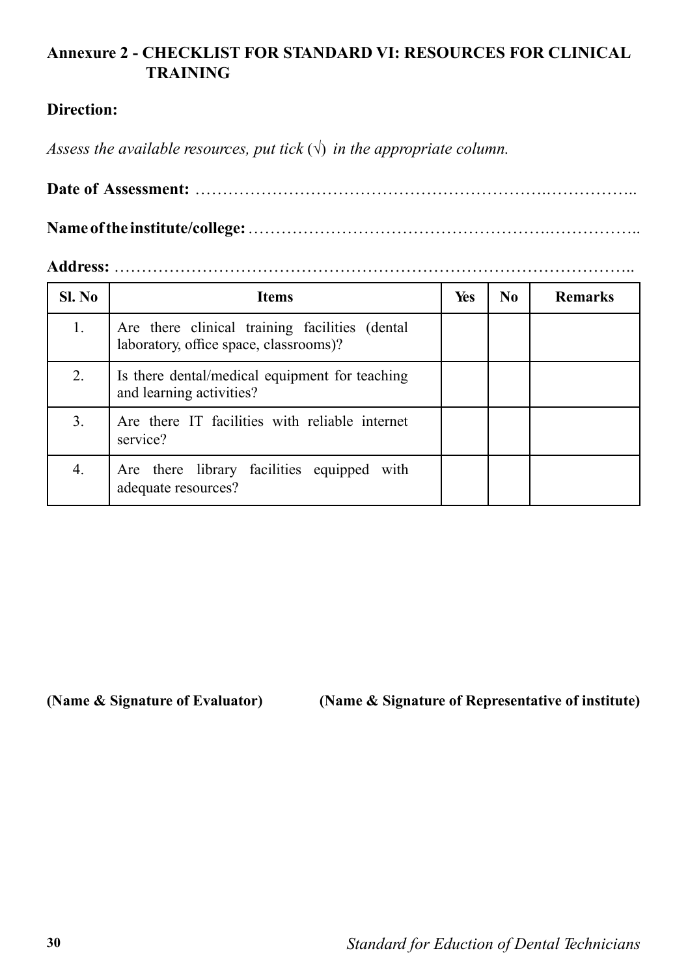#### **Annexure 2 - CHECKLIST FOR STANDARD VI: RESOURCES FOR CLINICAL TRAINING**

#### **Direction:**

*Assess the available resources, put tick*  $(\sqrt{})$  *in the appropriate column.* 

**Date of Assessment:** ……………………………………………………….…………….. **Name of the institute/college:** ……………………………………………….……………..

**Address:** …………………………………………………………………………………..

| Sl. No | <b>Items</b>                                                                             | Yes | N <sub>0</sub> | <b>Remarks</b> |
|--------|------------------------------------------------------------------------------------------|-----|----------------|----------------|
|        | Are there clinical training facilities (dental<br>laboratory, office space, classrooms)? |     |                |                |
| 2.     | Is there dental/medical equipment for teaching<br>and learning activities?               |     |                |                |
| 3.     | Are there IT facilities with reliable internet<br>service?                               |     |                |                |
| 4.     | Are there library facilities equipped with<br>adequate resources?                        |     |                |                |

**(Name & Signature of Evaluator) (Name & Signature of Representative of institute)**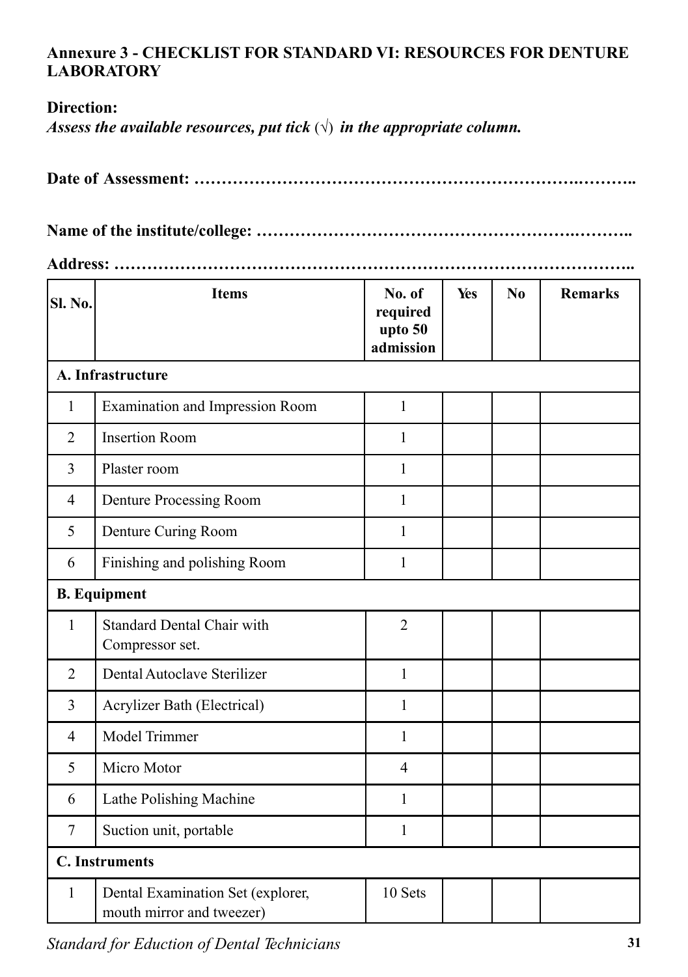#### **Annexure 3 - CHECKLIST FOR STANDARD VI: RESOURCES FOR DENTURE LABORATORY**

#### **Direction:**

*Assess the available resources, put tick*  $(\sqrt{})$  *in the appropriate column.* 

|--|--|

**Name of the institute/college: ………………………………………………….………..** 

**Address: …………………………………………………………………………………..**

| Sl. No.        | <b>Items</b>                                                   | No. of<br>required<br>upto 50<br>admission | Yes | N <sub>0</sub> | <b>Remarks</b> |  |  |
|----------------|----------------------------------------------------------------|--------------------------------------------|-----|----------------|----------------|--|--|
|                | A. Infrastructure                                              |                                            |     |                |                |  |  |
| $\mathbf{1}$   | <b>Examination and Impression Room</b>                         | $\mathbf{1}$                               |     |                |                |  |  |
| $\overline{2}$ | <b>Insertion Room</b>                                          | $\mathbf{1}$                               |     |                |                |  |  |
| 3              | Plaster room                                                   | $\mathbf{1}$                               |     |                |                |  |  |
| $\overline{4}$ | Denture Processing Room                                        | $\mathbf{1}$                               |     |                |                |  |  |
| 5              | Denture Curing Room                                            | 1                                          |     |                |                |  |  |
| 6              | Finishing and polishing Room                                   | $\mathbf{1}$                               |     |                |                |  |  |
|                | <b>B.</b> Equipment                                            |                                            |     |                |                |  |  |
| $\mathbf{1}$   | <b>Standard Dental Chair with</b><br>Compressor set.           | $\overline{2}$                             |     |                |                |  |  |
| $\overline{2}$ | Dental Autoclave Sterilizer                                    | $\mathbf{1}$                               |     |                |                |  |  |
| 3              | Acrylizer Bath (Electrical)                                    | 1                                          |     |                |                |  |  |
| 4              | Model Trimmer                                                  | 1                                          |     |                |                |  |  |
| 5              | Micro Motor                                                    | $\overline{4}$                             |     |                |                |  |  |
| 6              | Lathe Polishing Machine                                        | $\mathbf{1}$                               |     |                |                |  |  |
| $\tau$         | Suction unit, portable                                         | $\mathbf{1}$                               |     |                |                |  |  |
|                | <b>C.</b> Instruments                                          |                                            |     |                |                |  |  |
| 1              | Dental Examination Set (explorer,<br>mouth mirror and tweezer) | 10 Sets                                    |     |                |                |  |  |

*Standard for Eduction of Dental Technicians* **31**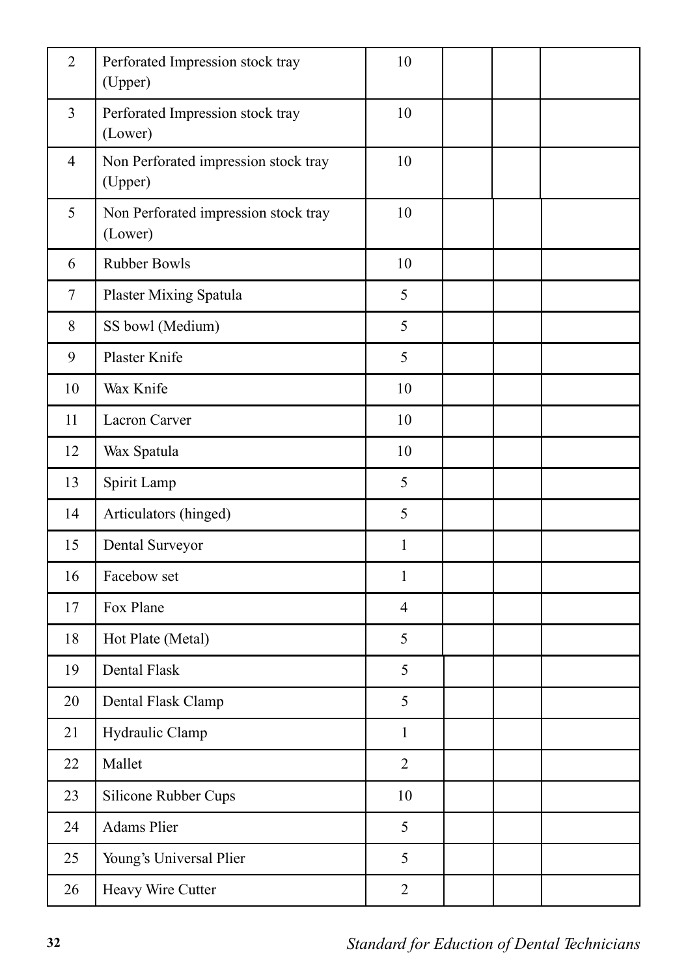| $\overline{2}$ | Perforated Impression stock tray<br>(Upper)     | 10             |  |  |
|----------------|-------------------------------------------------|----------------|--|--|
| 3              | Perforated Impression stock tray<br>(Lower)     | 10             |  |  |
| $\overline{4}$ | Non Perforated impression stock tray<br>(Upper) | 10             |  |  |
| 5              | Non Perforated impression stock tray<br>(Lower) | 10             |  |  |
| 6              | <b>Rubber Bowls</b>                             | 10             |  |  |
| 7              | Plaster Mixing Spatula                          | 5              |  |  |
| 8              | SS bowl (Medium)                                | 5              |  |  |
| 9              | Plaster Knife                                   | 5              |  |  |
| 10             | Wax Knife                                       | 10             |  |  |
| 11             | Lacron Carver                                   | 10             |  |  |
| 12             | Wax Spatula                                     | 10             |  |  |
| 13             | Spirit Lamp                                     | 5              |  |  |
| 14             | Articulators (hinged)                           | 5              |  |  |
| 15             | Dental Surveyor                                 | $\mathbf{1}$   |  |  |
| 16             | Facebow set                                     | $\mathbf{1}$   |  |  |
| 17             | Fox Plane                                       | $\overline{4}$ |  |  |
| 18             | Hot Plate (Metal)                               | 5              |  |  |
| 19             | Dental Flask                                    | 5              |  |  |
| 20             | Dental Flask Clamp                              | 5              |  |  |
| 21             | Hydraulic Clamp                                 | $\mathbf{1}$   |  |  |
| 22             | Mallet                                          | $\overline{2}$ |  |  |
| 23             | Silicone Rubber Cups                            | 10             |  |  |
| 24             | Adams Plier                                     | 5              |  |  |
| 25             | Young's Universal Plier                         | 5              |  |  |
| 26             | Heavy Wire Cutter                               | $\overline{2}$ |  |  |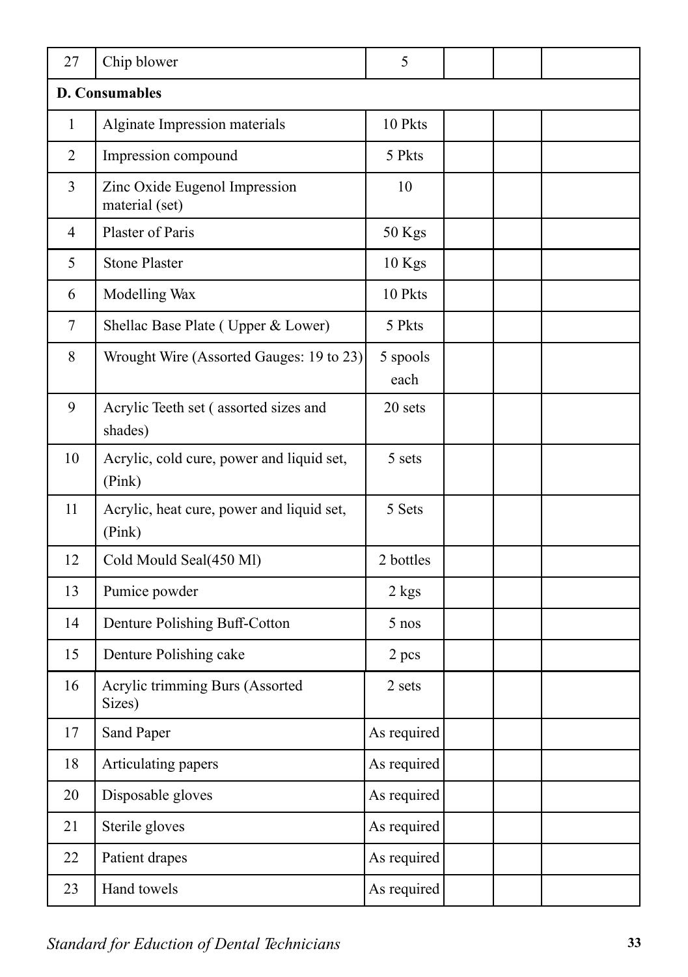| 27             | Chip blower                                         | 5                |  |  |
|----------------|-----------------------------------------------------|------------------|--|--|
|                | <b>D. Consumables</b>                               |                  |  |  |
| $\mathbf{1}$   | Alginate Impression materials                       | 10 Pkts          |  |  |
| $\overline{2}$ | Impression compound                                 | 5 Pkts           |  |  |
| 3              | Zinc Oxide Eugenol Impression<br>material (set)     | 10               |  |  |
| $\overline{4}$ | Plaster of Paris                                    | 50 Kgs           |  |  |
| 5              | <b>Stone Plaster</b>                                | $10$ Kgs         |  |  |
| 6              | Modelling Wax                                       | 10 Pkts          |  |  |
| $\tau$         | Shellac Base Plate (Upper & Lower)                  | 5 Pkts           |  |  |
| 8              | Wrought Wire (Assorted Gauges: 19 to 23)            | 5 spools<br>each |  |  |
| 9              | Acrylic Teeth set (assorted sizes and<br>shades)    | 20 sets          |  |  |
| 10             | Acrylic, cold cure, power and liquid set,<br>(Pink) | 5 sets           |  |  |
| 11             | Acrylic, heat cure, power and liquid set,<br>(Pink) | 5 Sets           |  |  |
| 12             | Cold Mould Seal(450 Ml)                             | 2 bottles        |  |  |
| 13             | Pumice powder                                       | 2 kgs            |  |  |
| 14             | Denture Polishing Buff-Cotton                       | 5 nos            |  |  |
| 15             | Denture Polishing cake                              | 2 pcs            |  |  |
| 16             | Acrylic trimming Burs (Assorted<br>Sizes)           | 2 sets           |  |  |
| 17             | Sand Paper                                          | As required      |  |  |
| 18             | Articulating papers                                 | As required      |  |  |
| 20             | Disposable gloves                                   | As required      |  |  |
| 21             | Sterile gloves                                      | As required      |  |  |
| 22             | Patient drapes                                      | As required      |  |  |
| 23             | Hand towels                                         | As required      |  |  |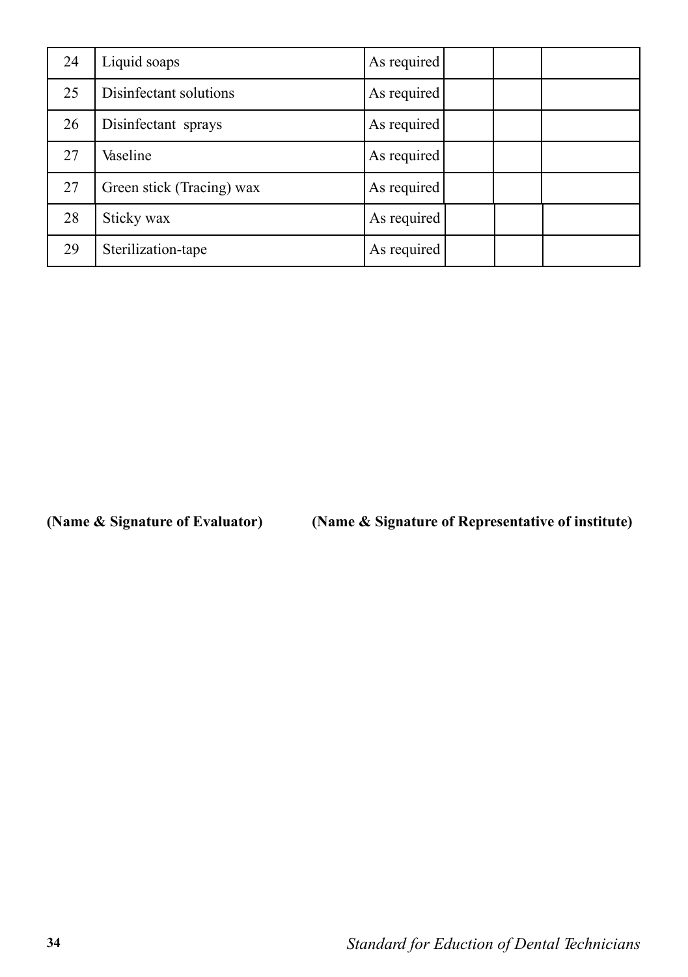| 24 | Liquid soaps              | As required |  |  |
|----|---------------------------|-------------|--|--|
| 25 | Disinfectant solutions    | As required |  |  |
| 26 | Disinfectant sprays       | As required |  |  |
| 27 | Vaseline                  | As required |  |  |
| 27 | Green stick (Tracing) wax | As required |  |  |
| 28 | Sticky wax                | As required |  |  |
| 29 | Sterilization-tape        | As required |  |  |

**(Name & Signature of Evaluator) (Name & Signature of Representative of institute)**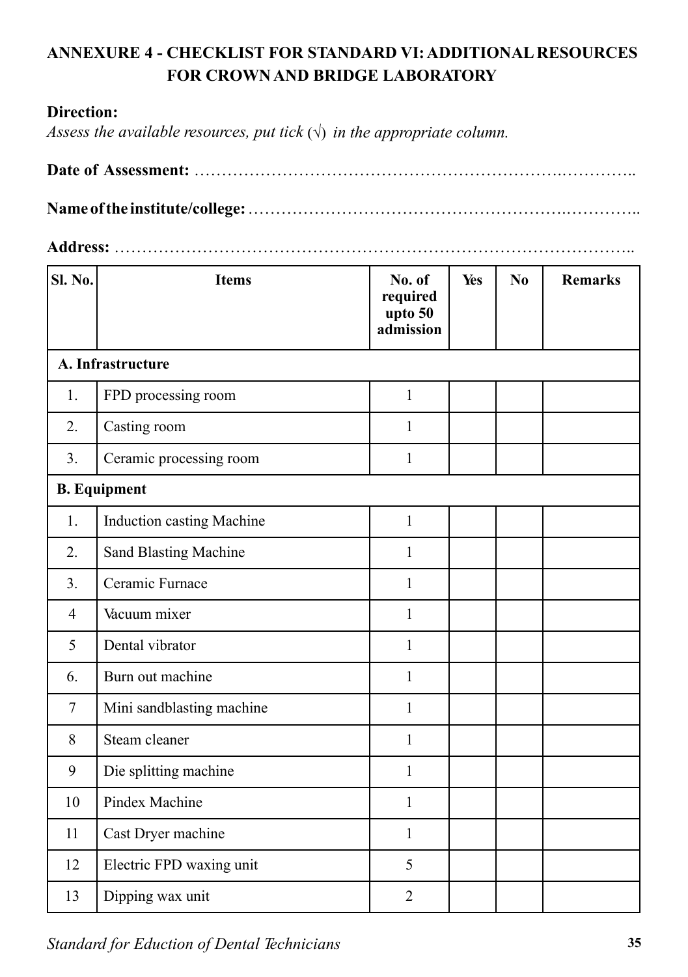## **ANNEXURE 4 - CHECKLIST FOR STANDARD VI: ADDITIONAL RESOURCES FOR CROWN AND BRIDGE LABORATORY**

#### **Direction:**

*Assess the available resources, put tick*  $(\sqrt{})$  *in the appropriate column.* 

**Address:** …………………………………………………………………………………..

| Sl. No.        | <b>Items</b>                 | No. of<br>required<br>upto 50<br>admission | Yes | N <sub>0</sub> | <b>Remarks</b> |
|----------------|------------------------------|--------------------------------------------|-----|----------------|----------------|
|                | A. Infrastructure            |                                            |     |                |                |
| 1.             | FPD processing room          | $\mathbf{1}$                               |     |                |                |
| 2.             | Casting room                 | $\mathbf{1}$                               |     |                |                |
| 3.             | Ceramic processing room      | $\mathbf{1}$                               |     |                |                |
|                | <b>B.</b> Equipment          |                                            |     |                |                |
| 1.             | Induction casting Machine    | $\mathbf{1}$                               |     |                |                |
| 2.             | <b>Sand Blasting Machine</b> | 1                                          |     |                |                |
| 3.             | Ceramic Furnace              | $\mathbf{1}$                               |     |                |                |
| $\overline{4}$ | Vacuum mixer                 | $\mathbf{1}$                               |     |                |                |
| 5              | Dental vibrator              | $\mathbf{1}$                               |     |                |                |
| 6.             | Burn out machine             | 1                                          |     |                |                |
| $\overline{7}$ | Mini sandblasting machine    | $\mathbf{1}$                               |     |                |                |
| 8              | Steam cleaner                | $\mathbf{1}$                               |     |                |                |
| 9              | Die splitting machine        | $\mathbf{1}$                               |     |                |                |
| 10             | Pindex Machine               | $\mathbf{1}$                               |     |                |                |
| 11             | Cast Dryer machine           | 1                                          |     |                |                |
| 12             | Electric FPD waxing unit     | 5                                          |     |                |                |
| 13             | Dipping wax unit             | $\overline{2}$                             |     |                |                |

*Standard for Eduction of Dental Technicians* **35**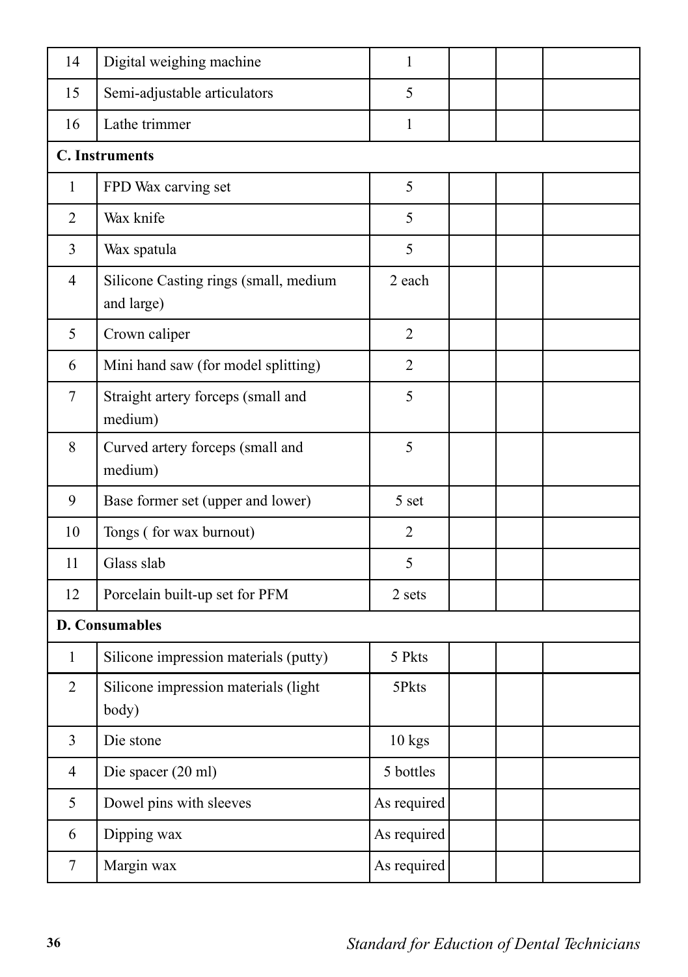| 14             | Digital weighing machine                            | 1              |  |  |  |  |  |
|----------------|-----------------------------------------------------|----------------|--|--|--|--|--|
| 15             | Semi-adjustable articulators                        | 5              |  |  |  |  |  |
| 16             | Lathe trimmer                                       | $\mathbf{1}$   |  |  |  |  |  |
|                | <b>C.</b> Instruments                               |                |  |  |  |  |  |
| 1              | FPD Wax carving set                                 | 5              |  |  |  |  |  |
| $\overline{2}$ | Wax knife                                           | 5              |  |  |  |  |  |
| 3              | Wax spatula                                         | 5              |  |  |  |  |  |
| $\overline{4}$ | Silicone Casting rings (small, medium<br>and large) | 2 each         |  |  |  |  |  |
| 5              | Crown caliper                                       | $\overline{2}$ |  |  |  |  |  |
| 6              | Mini hand saw (for model splitting)                 | $\overline{2}$ |  |  |  |  |  |
| $\tau$         | Straight artery forceps (small and<br>medium)       | 5              |  |  |  |  |  |
| 8              | Curved artery forceps (small and<br>medium)         | 5              |  |  |  |  |  |
| 9              | Base former set (upper and lower)                   | 5 set          |  |  |  |  |  |
| 10             | Tongs (for wax burnout)                             | $\overline{2}$ |  |  |  |  |  |
| 11             | Glass slab                                          | 5              |  |  |  |  |  |
| 12             | Porcelain built-up set for PFM                      | 2 sets         |  |  |  |  |  |
|                | <b>D. Consumables</b>                               |                |  |  |  |  |  |
| $\mathbf{1}$   | Silicone impression materials (putty)               | 5 Pkts         |  |  |  |  |  |
| $\overline{2}$ | Silicone impression materials (light<br>body)       | 5Pkts          |  |  |  |  |  |
| $\overline{3}$ | Die stone                                           | $10$ kgs       |  |  |  |  |  |
| $\overline{4}$ | Die spacer (20 ml)                                  | 5 bottles      |  |  |  |  |  |
| 5              | Dowel pins with sleeves                             | As required    |  |  |  |  |  |
| 6              | Dipping wax                                         | As required    |  |  |  |  |  |
| 7              | Margin wax                                          | As required    |  |  |  |  |  |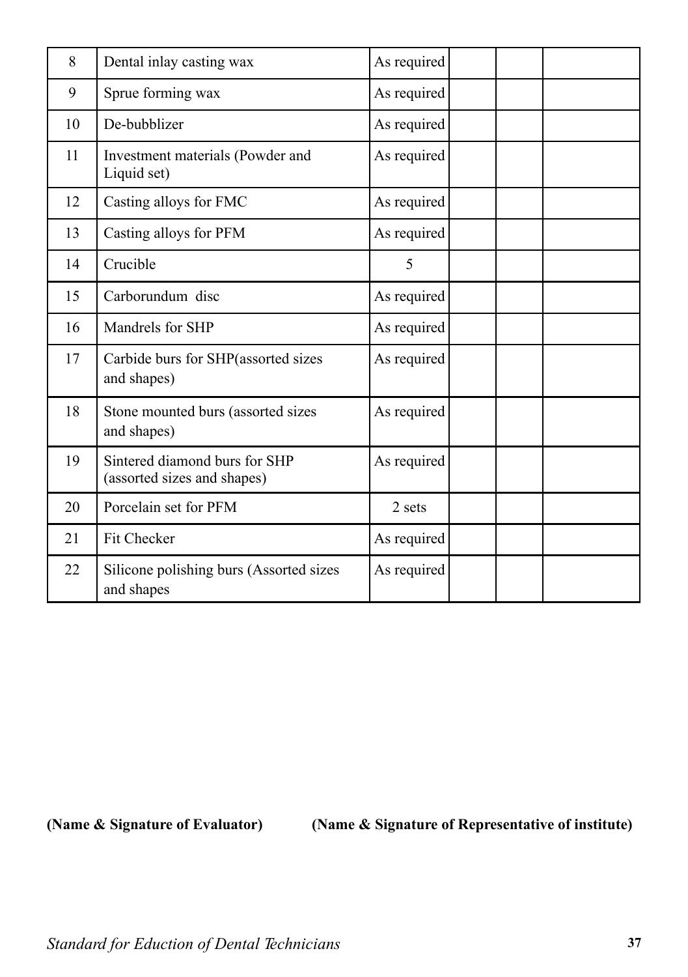| 8  | Dental inlay casting wax                                     | As required |  |  |
|----|--------------------------------------------------------------|-------------|--|--|
| 9  | Sprue forming wax                                            | As required |  |  |
| 10 | De-bubblizer                                                 | As required |  |  |
| 11 | Investment materials (Powder and<br>Liquid set)              | As required |  |  |
| 12 | Casting alloys for FMC                                       | As required |  |  |
| 13 | Casting alloys for PFM                                       | As required |  |  |
| 14 | Crucible                                                     | 5           |  |  |
| 15 | Carborundum disc                                             | As required |  |  |
| 16 | Mandrels for SHP                                             | As required |  |  |
| 17 | Carbide burs for SHP(assorted sizes<br>and shapes)           | As required |  |  |
| 18 | Stone mounted burs (assorted sizes<br>and shapes)            | As required |  |  |
| 19 | Sintered diamond burs for SHP<br>(assorted sizes and shapes) | As required |  |  |
| 20 | Porcelain set for PFM                                        | 2 sets      |  |  |
| 21 | Fit Checker                                                  | As required |  |  |
| 22 | Silicone polishing burs (Assorted sizes<br>and shapes        | As required |  |  |

**(Name & Signature of Evaluator) (Name & Signature of Representative of institute)**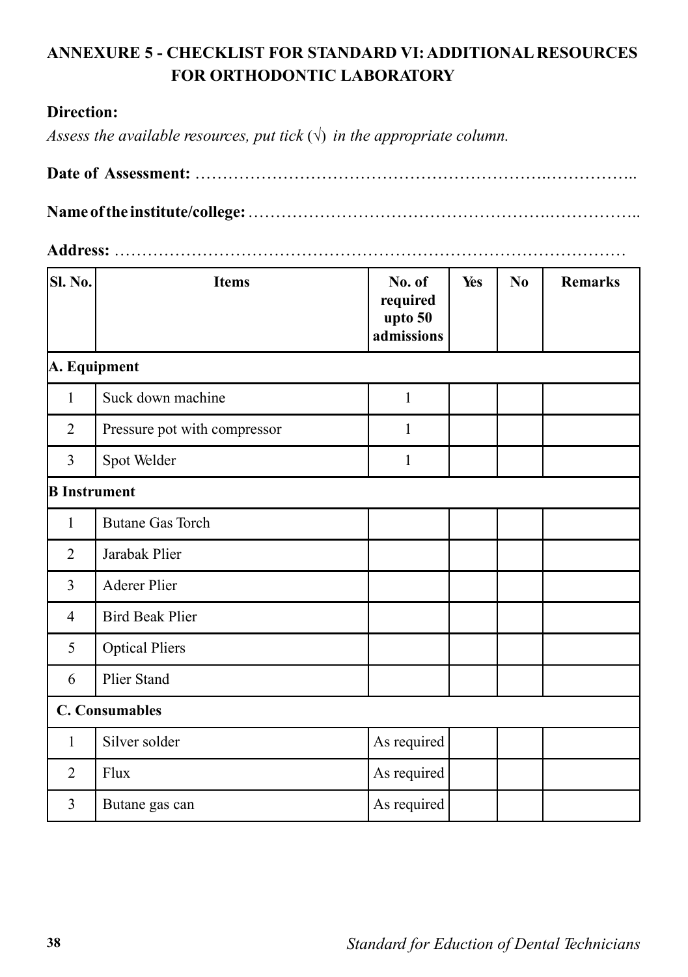# **ANNEXURE 5 - CHECKLIST FOR STANDARD VI: ADDITIONAL RESOURCES FOR ORTHODONTIC LABORATORY**

#### **Direction:**

*Assess the available resources, put tick*  $(\sqrt{})$  *in the appropriate column.* 

|--|--|

**Name of the institute/college:** ……………………………………………….……………..

#### **Address:** …………………………………………………………………………………

| SI. No.               | <b>Items</b>                 | No. of<br>required<br>upto 50<br>admissions | Yes | N <sub>0</sub> | <b>Remarks</b> |
|-----------------------|------------------------------|---------------------------------------------|-----|----------------|----------------|
| A. Equipment          |                              |                                             |     |                |                |
| 1                     | Suck down machine            | 1                                           |     |                |                |
| $\overline{2}$        | Pressure pot with compressor | 1                                           |     |                |                |
| 3                     | Spot Welder                  | $\mathbf{1}$                                |     |                |                |
| <b>B</b> Instrument   |                              |                                             |     |                |                |
| 1                     | <b>Butane Gas Torch</b>      |                                             |     |                |                |
| $\overline{2}$        | Jarabak Plier                |                                             |     |                |                |
| 3                     | <b>Aderer Plier</b>          |                                             |     |                |                |
| $\overline{4}$        | <b>Bird Beak Plier</b>       |                                             |     |                |                |
| 5                     | <b>Optical Pliers</b>        |                                             |     |                |                |
| 6                     | <b>Plier Stand</b>           |                                             |     |                |                |
| <b>C. Consumables</b> |                              |                                             |     |                |                |
| 1                     | Silver solder                | As required                                 |     |                |                |
| $\overline{2}$        | Flux                         | As required                                 |     |                |                |
| 3                     | Butane gas can               | As required                                 |     |                |                |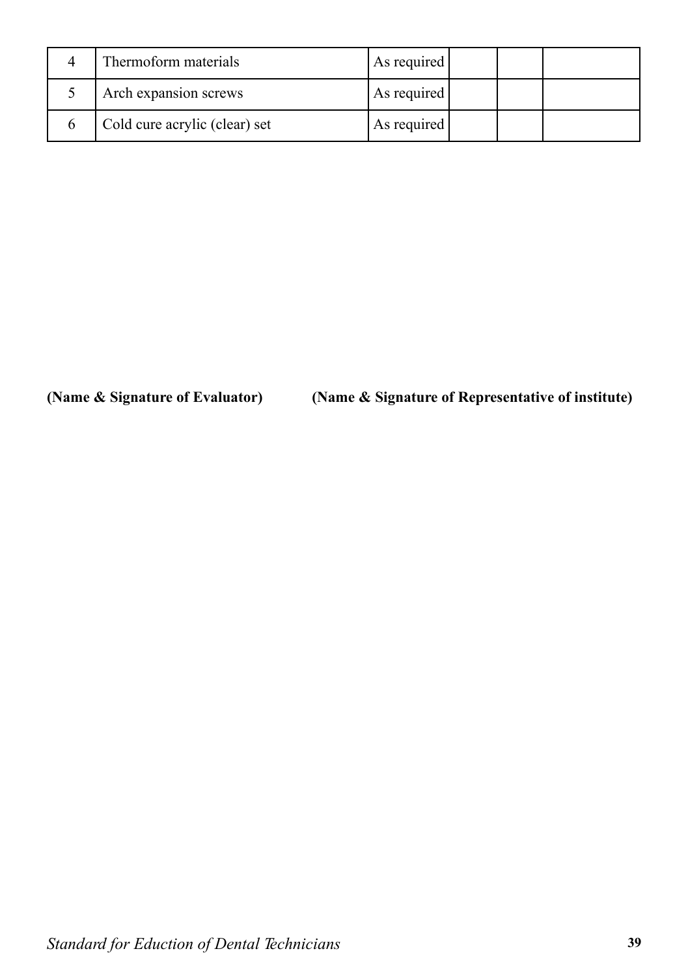| Thermoform materials          | As required |  |  |
|-------------------------------|-------------|--|--|
| Arch expansion screws         | As required |  |  |
| Cold cure acrylic (clear) set | As required |  |  |

#### **(Name & Signature of Evaluator) (Name & Signature of Representative of institute)**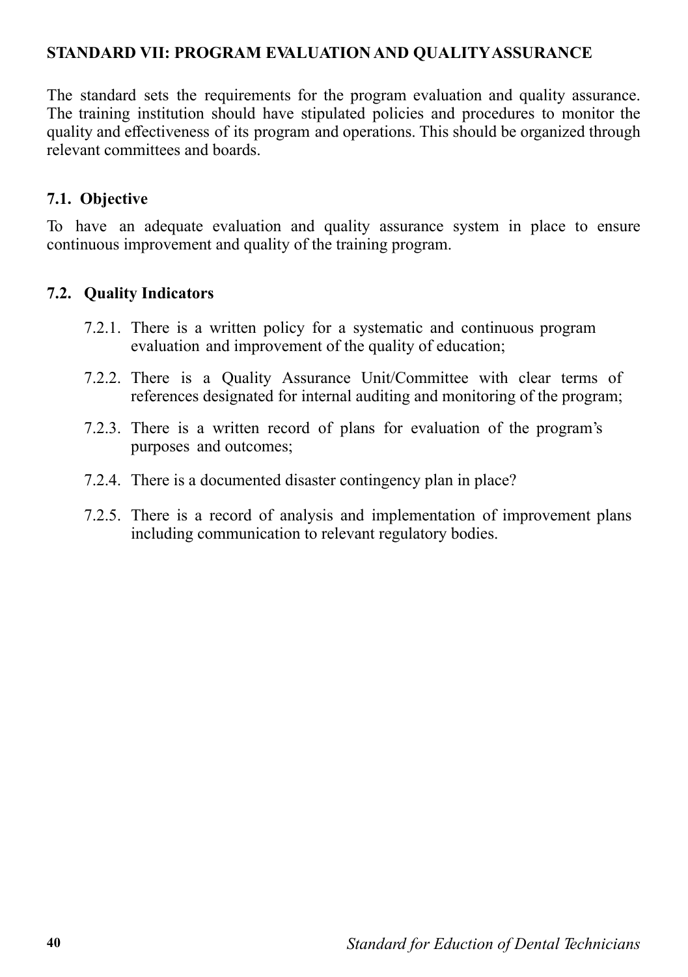#### **STANDARD VII: PROGRAM EVALUATION AND QUALITY ASSURANCE**

The standard sets the requirements for the program evaluation and quality assurance. The training institution should have stipulated policies and procedures to monitor the quality and effectiveness of its program and operations. This should be organized through relevant committees and boards.

#### **7.1. Objective**

To have an adequate evaluation and quality assurance system in place to ensure continuous improvement and quality of the training program.

#### **7.2. Quality Indicators**

- 7.2.1. There is a written policy for a systematic and continuous program evaluation and improvement of the quality of education;
- 7.2.2. There is a Quality Assurance Unit/Committee with clear terms of references designated for internal auditing and monitoring of the program;
- 7.2.3. There is a written record of plans for evaluation of the program's purposes and outcomes;
- 7.2.4. There is a documented disaster contingency plan in place?
- 7.2.5. There is a record of analysis and implementation of improvement plans including communication to relevant regulatory bodies.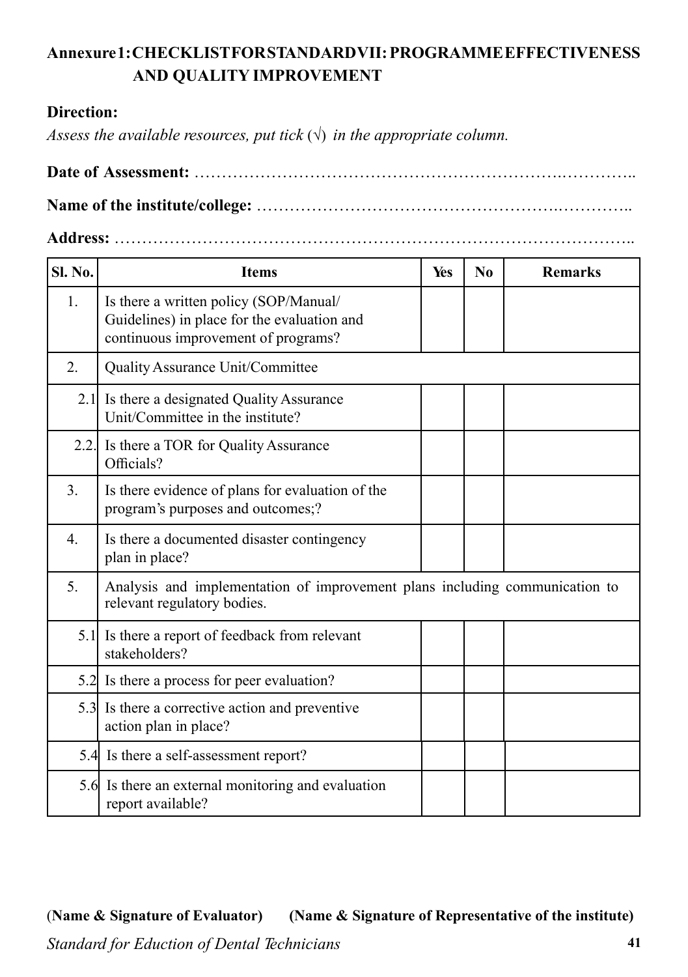# **Annexure 1: CHECKLIST FOR STANDARD VII: PROGRAMME EFFECTIVENESS AND QUALITY IMPROVEMENT**

#### **Direction:**

*Assess the available resources, put tick*  $(\sqrt{})$  *in the appropriate column.* 

**Date of Assessment:** ………………………………………………………….………….. **Name of the institute/college:** ……………………………………………….…………..

#### **Address:** …………………………………………………………………………………..

| <b>Sl. No.</b>   | <b>Items</b>                                                                                                                 | Yes | N <sub>0</sub> | <b>Remarks</b> |  |  |
|------------------|------------------------------------------------------------------------------------------------------------------------------|-----|----------------|----------------|--|--|
| 1.               | Is there a written policy (SOP/Manual/<br>Guidelines) in place for the evaluation and<br>continuous improvement of programs? |     |                |                |  |  |
| 2.               | Quality Assurance Unit/Committee                                                                                             |     |                |                |  |  |
|                  | 2.1 Is there a designated Quality Assurance<br>Unit/Committee in the institute?                                              |     |                |                |  |  |
|                  | 2.2. Is there a TOR for Quality Assurance<br>Officials?                                                                      |     |                |                |  |  |
| 3.               | Is there evidence of plans for evaluation of the<br>program's purposes and outcomes;?                                        |     |                |                |  |  |
| $\overline{4}$ . | Is there a documented disaster contingency<br>plan in place?                                                                 |     |                |                |  |  |
| 5.               | Analysis and implementation of improvement plans including communication to<br>relevant regulatory bodies.                   |     |                |                |  |  |
|                  | 5.1 Is there a report of feedback from relevant<br>stakeholders?                                                             |     |                |                |  |  |
|                  | 5.2 Is there a process for peer evaluation?                                                                                  |     |                |                |  |  |
|                  | 5.3 Is there a corrective action and preventive<br>action plan in place?                                                     |     |                |                |  |  |
|                  | 5.4 Is there a self-assessment report?                                                                                       |     |                |                |  |  |
|                  | 5.6 Is there an external monitoring and evaluation<br>report available?                                                      |     |                |                |  |  |

(**Name & Signature of Evaluator) (Name & Signature of Representative of the institute)**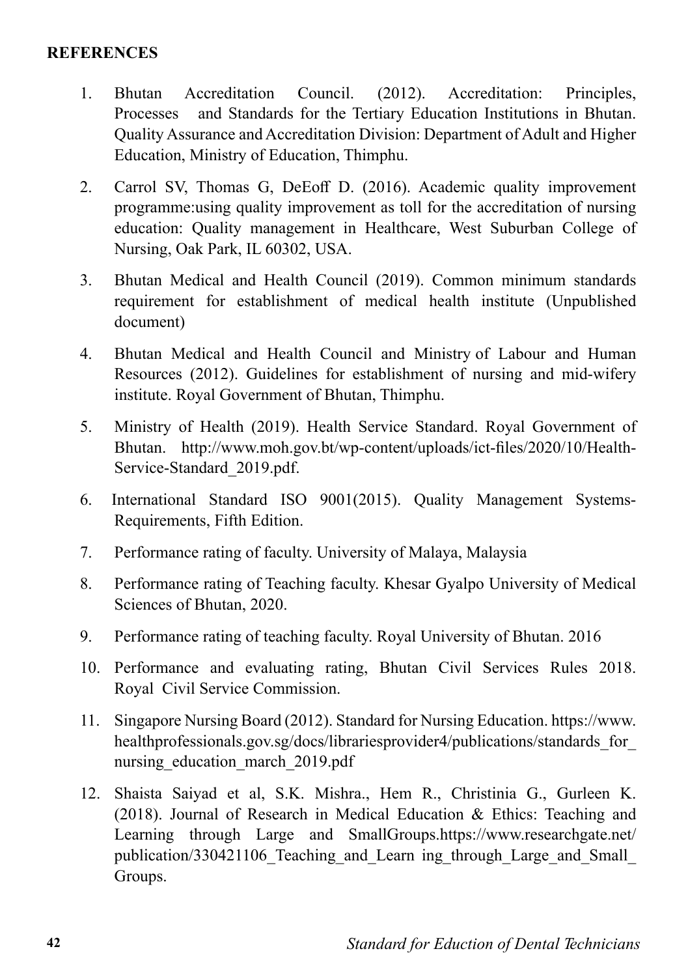- 1. Bhutan Accreditation Council. (2012). Accreditation: Principles, Processes and Standards for the Tertiary Education Institutions in Bhutan. Quality Assurance and Accreditation Division: Department of Adult and Higher Education, Ministry of Education, Thimphu.
- 2. Carrol SV, Thomas G, DeEoff D. (2016). Academic quality improvement programme:using quality improvement as toll for the accreditation of nursing education: Quality management in Healthcare, West Suburban College of Nursing, Oak Park, IL 60302, USA.
- 3. Bhutan Medical and Health Council (2019). Common minimum standards requirement for establishment of medical health institute (Unpublished document)
- 4. Bhutan Medical and Health Council and Ministry of Labour and Human Resources (2012). Guidelines for establishment of nursing and mid-wifery institute. Royal Government of Bhutan, Thimphu.
- 5. Ministry of Health (2019). Health Service Standard. Royal Government of Bhutan. http://www.moh.gov.bt/wp-content/uploads/ict-files/2020/10/Health-Service-Standard\_2019.pdf.
- 6. International Standard ISO 9001(2015). Quality Management Systems-Requirements, Fifth Edition.
- 7. Performance rating of faculty. University of Malaya, Malaysia
- 8. Performance rating of Teaching faculty. Khesar Gyalpo University of Medical Sciences of Bhutan, 2020.
- 9. Performance rating of teaching faculty. Royal University of Bhutan. 2016
- 10. Performance and evaluating rating, Bhutan Civil Services Rules 2018. Royal Civil Service Commission.
- 11. Singapore Nursing Board (2012). Standard for Nursing Education. https://www. healthprofessionals.gov.sg/docs/librariesprovider4/publications/standards\_for\_ nursing education march 2019.pdf
- 12. Shaista Saiyad et al, S.K. Mishra., Hem R., Christinia G., Gurleen K. (2018). Journal of Research in Medical Education & Ethics: Teaching and Learning through Large and SmallGroups.https://www.researchgate.net/ publication/330421106\_Teaching\_and\_Learn ing\_through\_Large\_and\_Small\_ Groups.